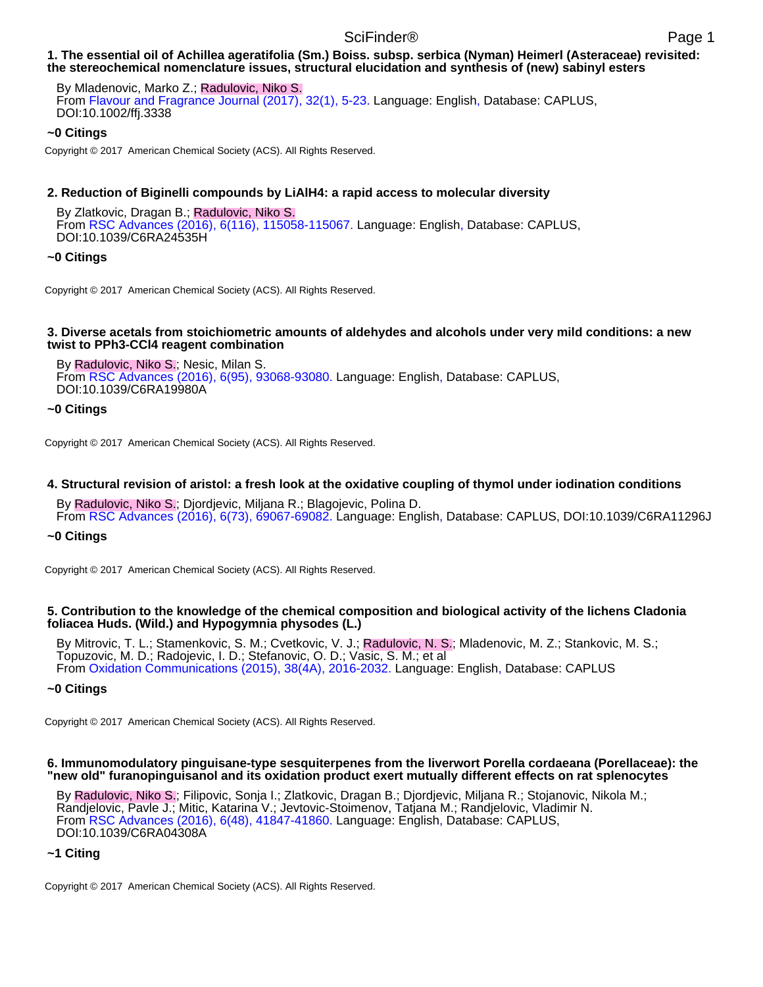### **1. The essential oil of Achillea ageratifolia (Sm.) Boiss. subsp. serbica (Nyman) Heimerl (Asteraceae) revisited: the stereochemical nomenclature issues, structural elucidation and synthesis of (new) sabinyl esters**

By Mladenovic, Marko Z.; Radulovic, Niko S. From Flavour and Fragrance Journal (2017), 32(1), 5-23. Language: English, Database: CAPLUS, DOI:10.1002/ffj.3338

### **~0 Citings**

Copyright © 2017 American Chemical Society (ACS). All Rights Reserved.

### **2. Reduction of Biginelli compounds by LiAlH4: a rapid access to molecular diversity**

By Zlatkovic, Dragan B.; Radulovic, Niko S. From RSC Advances (2016), 6(116), 115058-115067. Language: English, Database: CAPLUS, DOI:10.1039/C6RA24535H

## **~0 Citings**

Copyright © 2017 American Chemical Society (ACS). All Rights Reserved.

#### **3. Diverse acetals from stoichiometric amounts of aldehydes and alcohols under very mild conditions: a new twist to PPh3-CCl4 reagent combination**

By Radulovic, Niko S.; Nesic, Milan S. From RSC Advances (2016), 6(95), 93068-93080. Language: English, Database: CAPLUS, DOI:10.1039/C6RA19980A

## **~0 Citings**

Copyright © 2017 American Chemical Society (ACS). All Rights Reserved.

### **4. Structural revision of aristol: a fresh look at the oxidative coupling of thymol under iodination conditions**

By Radulovic, Niko S.; Djordjevic, Miljana R.; Blagojevic, Polina D. From RSC Advances (2016), 6(73), 69067-69082. Language: English, Database: CAPLUS, DOI:10.1039/C6RA11296J

### **~0 Citings**

Copyright © 2017 American Chemical Society (ACS). All Rights Reserved.

### **5. Contribution to the knowledge of the chemical composition and biological activity of the lichens Cladonia foliacea Huds. (Wild.) and Hypogymnia physodes (L.)**

By Mitrovic, T. L.; Stamenkovic, S. M.; Cvetkovic, V. J.; Radulovic, N. S.; Mladenovic, M. Z.; Stankovic, M. S.; Topuzovic, M. D.; Radojevic, I. D.; Stefanovic, O. D.; Vasic, S. M.; et al From Oxidation Communications (2015), 38(4A), 2016-2032. Language: English, Database: CAPLUS

### **~0 Citings**

Copyright © 2017 American Chemical Society (ACS). All Rights Reserved.

#### **6. Immunomodulatory pinguisane-type sesquiterpenes from the liverwort Porella cordaeana (Porellaceae): the "new old" furanopinguisanol and its oxidation product exert mutually different effects on rat splenocytes**

By Radulovic, Niko S.; Filipovic, Sonja I.; Zlatkovic, Dragan B.; Djordjevic, Miljana R.; Stojanovic, Nikola M.; Randjelovic, Pavle J.; Mitic, Katarina V.; Jevtovic-Stoimenov, Tatjana M.; Randjelovic, Vladimir N. From RSC Advances (2016), 6(48), 41847-41860. Language: English, Database: CAPLUS, DOI:10.1039/C6RA04308A

### **~1 Citing**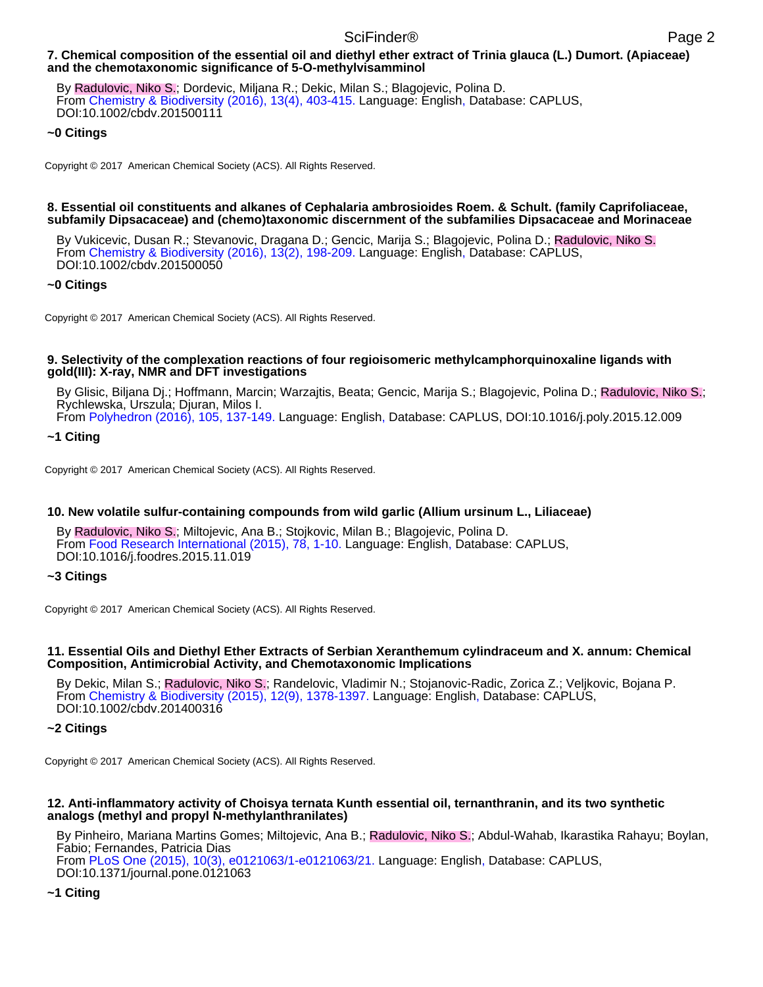# **7. Chemical composition of the essential oil and diethyl ether extract of Trinia glauca (L.) Dumort. (Apiaceae) and the chemotaxonomic significance of 5-O-methylvisamminol**

By Radulovic, Niko S.; Dordevic, Miljana R.; Dekic, Milan S.; Blagojevic, Polina D. From Chemistry & Biodiversity (2016), 13(4), 403-415. Language: English, Database: CAPLUS, DOI:10.1002/cbdv.201500111

# **~0 Citings**

Copyright © 2017 American Chemical Society (ACS). All Rights Reserved.

### **8. Essential oil constituents and alkanes of Cephalaria ambrosioides Roem. & Schult. (family Caprifoliaceae, subfamily Dipsacaceae) and (chemo)taxonomic discernment of the subfamilies Dipsacaceae and Morinaceae**

By Vukicevic, Dusan R.; Stevanovic, Dragana D.; Gencic, Marija S.; Blagojevic, Polina D.; Radulovic, Niko S. From Chemistry & Biodiversity (2016), 13(2), 198-209. Language: English, Database: CAPLUS, DOI:10.1002/cbdv.201500050

## **~0 Citings**

Copyright © 2017 American Chemical Society (ACS). All Rights Reserved.

### **9. Selectivity of the complexation reactions of four regioisomeric methylcamphorquinoxaline ligands with gold(III): X-ray, NMR and DFT investigations**

By Glisic, Biljana Dj.; Hoffmann, Marcin; Warzajtis, Beata; Gencic, Marija S.; Blagojevic, Polina D.; Radulovic, Niko S.; Rychlewska, Urszula; Djuran, Milos I.

From Polyhedron (2016), 105, 137-149. Language: English, Database: CAPLUS, DOI:10.1016/j.poly.2015.12.009

**~1 Citing**

Copyright © 2017 American Chemical Society (ACS). All Rights Reserved.

# **10. New volatile sulfur-containing compounds from wild garlic (Allium ursinum L., Liliaceae)**

By Radulovic, Niko S.; Miltojevic, Ana B.; Stojkovic, Milan B.; Blagojevic, Polina D. From Food Research International (2015), 78, 1-10. Language: English, Database: CAPLUS, DOI:10.1016/j.foodres.2015.11.019

### **~3 Citings**

Copyright © 2017 American Chemical Society (ACS). All Rights Reserved.

### **11. Essential Oils and Diethyl Ether Extracts of Serbian Xeranthemum cylindraceum and X. annum: Chemical Composition, Antimicrobial Activity, and Chemotaxonomic Implications**

By Dekic, Milan S.; Radulovic, Niko S.; Randelovic, Vladimir N.; Stojanovic-Radic, Zorica Z.; Veljkovic, Bojana P. From Chemistry & Biodiversity (2015), 12(9), 1378-1397. Language: English, Database: CAPLUS, DOI:10.1002/cbdv.201400316

### **~2 Citings**

Copyright © 2017 American Chemical Society (ACS). All Rights Reserved.

### **12. Anti-inflammatory activity of Choisya ternata Kunth essential oil, ternanthranin, and its two synthetic analogs (methyl and propyl N-methylanthranilates)**

By Pinheiro, Mariana Martins Gomes; Miltojevic, Ana B.; Radulovic, Niko S.; Abdul-Wahab, Ikarastika Rahayu; Boylan, Fabio; Fernandes, Patricia Dias From PLoS One (2015), 10(3), e0121063/1-e0121063/21. Language: English, Database: CAPLUS, DOI:10.1371/journal.pone.0121063

# **~1 Citing**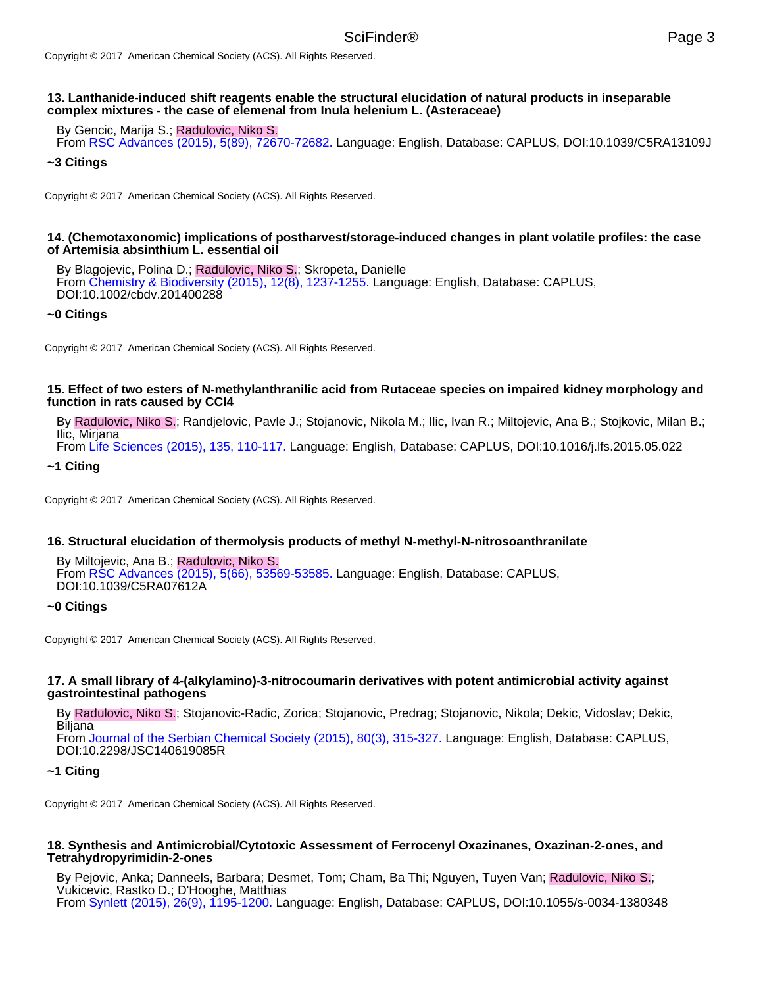# **13. Lanthanide-induced shift reagents enable the structural elucidation of natural products in inseparable complex mixtures - the case of elemenal from Inula helenium L. (Asteraceae)**

By Gencic, Marija S.; Radulovic, Niko S.

From RSC Advances (2015), 5(89), 72670-72682. Language: English, Database: CAPLUS, DOI:10.1039/C5RA13109J

### **~3 Citings**

Copyright © 2017 American Chemical Society (ACS). All Rights Reserved.

#### **14. (Chemotaxonomic) implications of postharvest/storage-induced changes in plant volatile profiles: the case of Artemisia absinthium L. essential oil**

By Blagojevic, Polina D.; Radulovic, Niko S.; Skropeta, Danielle From Chemistry & Biodiversity (2015), 12(8), 1237-1255. Language: English, Database: CAPLUS, DOI:10.1002/cbdv.201400288

### **~0 Citings**

Copyright © 2017 American Chemical Society (ACS). All Rights Reserved.

### **15. Effect of two esters of N-methylanthranilic acid from Rutaceae species on impaired kidney morphology and function in rats caused by CCl4**

By Radulovic, Niko S.; Randjelovic, Pavle J.; Stojanovic, Nikola M.; Ilic, Ivan R.; Miltojevic, Ana B.; Stojkovic, Milan B.; Ilic, Mirjana

From Life Sciences (2015), 135, 110-117. Language: English, Database: CAPLUS, DOI:10.1016/j.lfs.2015.05.022

**~1 Citing**

Copyright © 2017 American Chemical Society (ACS). All Rights Reserved.

### **16. Structural elucidation of thermolysis products of methyl N-methyl-N-nitrosoanthranilate**

By Miltojevic, Ana B.; Radulovic, Niko S. From RSC Advances (2015), 5(66), 53569-53585. Language: English, Database: CAPLUS, DOI:10.1039/C5RA07612A

#### **~0 Citings**

Copyright © 2017 American Chemical Society (ACS). All Rights Reserved.

#### **17. A small library of 4-(alkylamino)-3-nitrocoumarin derivatives with potent antimicrobial activity against gastrointestinal pathogens**

By Radulovic, Niko S.; Stojanovic-Radic, Zorica; Stojanovic, Predrag; Stojanovic, Nikola; Dekic, Vidoslav; Dekic, Biljana

From Journal of the Serbian Chemical Society (2015), 80(3), 315-327. Language: English, Database: CAPLUS, DOI:10.2298/JSC140619085R

#### **~1 Citing**

Copyright © 2017 American Chemical Society (ACS). All Rights Reserved.

### **18. Synthesis and Antimicrobial/Cytotoxic Assessment of Ferrocenyl Oxazinanes, Oxazinan-2-ones, and Tetrahydropyrimidin-2-ones**

By Pejovic, Anka; Danneels, Barbara; Desmet, Tom; Cham, Ba Thi; Nguyen, Tuyen Van; Radulovic, Niko S.; Vukicevic, Rastko D.; D'Hooghe, Matthias From Synlett (2015), 26(9), 1195-1200. Language: English, Database: CAPLUS, DOI:10.1055/s-0034-1380348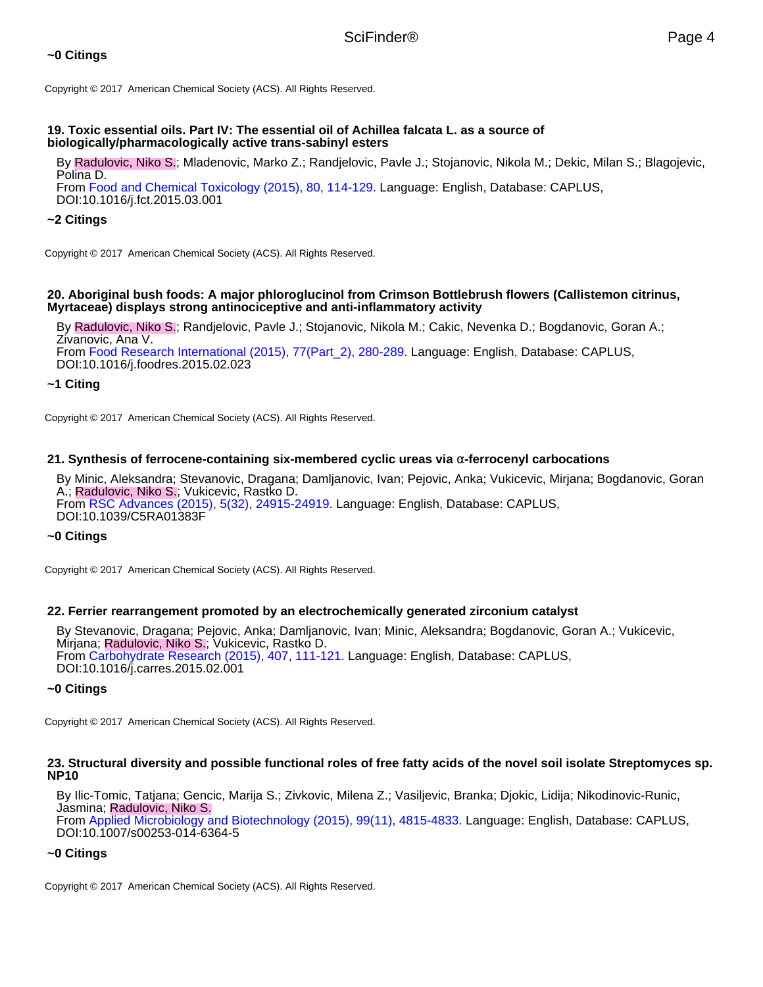# **19. Toxic essential oils. Part IV: The essential oil of Achillea falcata L. as a source of biologically/pharmacologically active trans-sabinyl esters**

By Radulovic, Niko S.; Mladenovic, Marko Z.; Randjelovic, Pavle J.; Stojanovic, Nikola M.; Dekic, Milan S.; Blagojevic, Polina D.

From Food and Chemical Toxicology (2015), 80, 114-129. Language: English, Database: CAPLUS, DOI:10.1016/j.fct.2015.03.001

# **~2 Citings**

Copyright © 2017 American Chemical Society (ACS). All Rights Reserved.

# **20. Aboriginal bush foods: A major phloroglucinol from Crimson Bottlebrush flowers (Callistemon citrinus, Myrtaceae) displays strong antinociceptive and anti-inflammatory activity**

By Radulovic, Niko S.; Randjelovic, Pavle J.; Stojanovic, Nikola M.; Cakic, Nevenka D.; Bogdanovic, Goran A.; Zivanovic, Ana V.

From Food Research International (2015), 77(Part\_2), 280-289. Language: English, Database: CAPLUS, DOI:10.1016/j.foodres.2015.02.023

# **~1 Citing**

Copyright © 2017 American Chemical Society (ACS). All Rights Reserved.

# **21. Synthesis of ferrocene-containing six-membered cyclic ureas via** α**-ferrocenyl carbocations**

By Minic, Aleksandra; Stevanovic, Dragana; Damljanovic, Ivan; Pejovic, Anka; Vukicevic, Mirjana; Bogdanovic, Goran A.; Radulovic, Niko S.; Vukicevic, Rastko D. From RSC Advances (2015), 5(32), 24915-24919. Language: English, Database: CAPLUS, DOI:10.1039/C5RA01383F

### **~0 Citings**

Copyright © 2017 American Chemical Society (ACS). All Rights Reserved.

# **22. Ferrier rearrangement promoted by an electrochemically generated zirconium catalyst**

By Stevanovic, Dragana; Pejovic, Anka; Damljanovic, Ivan; Minic, Aleksandra; Bogdanovic, Goran A.; Vukicevic, Mirjana; Radulovic, Niko S.; Vukicevic, Rastko D. From Carbohydrate Research (2015), 407, 111-121. Language: English, Database: CAPLUS, DOI:10.1016/j.carres.2015.02.001

# **~0 Citings**

Copyright © 2017 American Chemical Society (ACS). All Rights Reserved.

# **23. Structural diversity and possible functional roles of free fatty acids of the novel soil isolate Streptomyces sp. NP10**

By Ilic-Tomic, Tatjana; Gencic, Marija S.; Zivkovic, Milena Z.; Vasiljevic, Branka; Djokic, Lidija; Nikodinovic-Runic, Jasmina; Radulovic, Niko S.

From Applied Microbiology and Biotechnology (2015), 99(11), 4815-4833. Language: English, Database: CAPLUS, DOI:10.1007/s00253-014-6364-5

# **~0 Citings**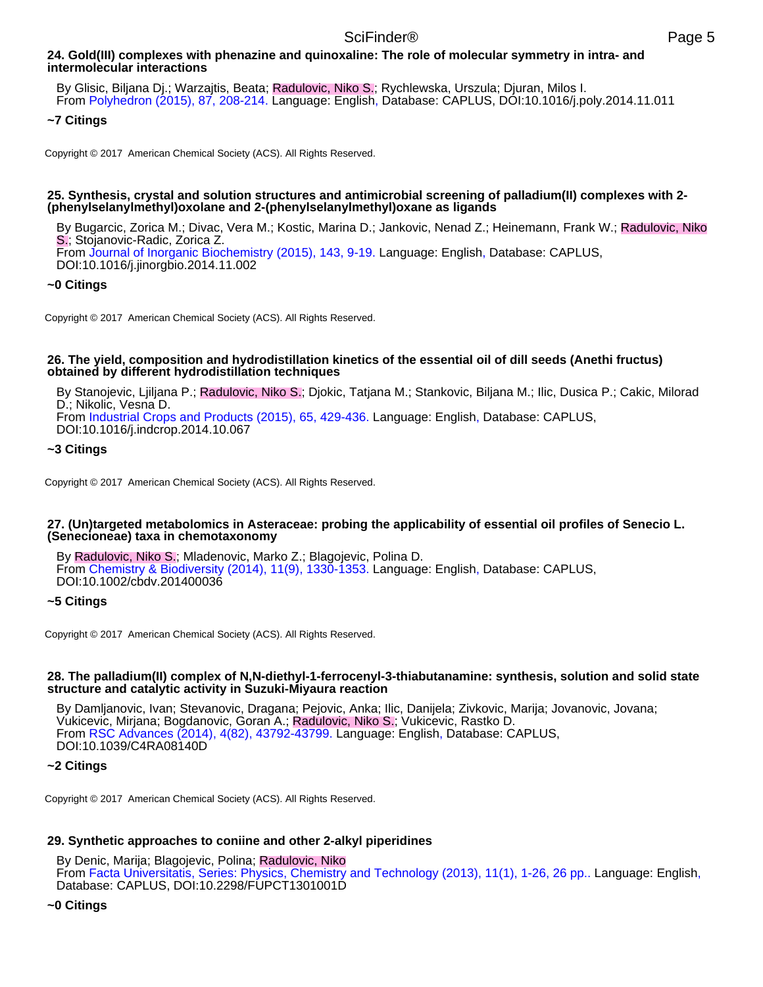# **24. Gold(III) complexes with phenazine and quinoxaline: The role of molecular symmetry in intra- and intermolecular interactions**

By Glisic, Biljana Dj.; Warzajtis, Beata; Radulovic, Niko S.; Rychlewska, Urszula; Djuran, Milos I. From Polyhedron (2015), 87, 208-214. Language: English, Database: CAPLUS, DOI:10.1016/j.poly.2014.11.011

# **~7 Citings**

Copyright © 2017 American Chemical Society (ACS). All Rights Reserved.

### **25. Synthesis, crystal and solution structures and antimicrobial screening of palladium(II) complexes with 2- (phenylselanylmethyl)oxolane and 2-(phenylselanylmethyl)oxane as ligands**

By Bugarcic, Zorica M.; Divac, Vera M.; Kostic, Marina D.; Jankovic, Nenad Z.; Heinemann, Frank W.; Radulovic, Niko S.; Stojanovic-Radic, Zorica Z. From Journal of Inorganic Biochemistry (2015), 143, 9-19. Language: English, Database: CAPLUS, DOI:10.1016/j.jinorgbio.2014.11.002

# **~0 Citings**

Copyright © 2017 American Chemical Society (ACS). All Rights Reserved.

### **26. The yield, composition and hydrodistillation kinetics of the essential oil of dill seeds (Anethi fructus) obtained by different hydrodistillation techniques**

By Stanojevic, Ljiljana P.; Radulovic, Niko S.; Djokic, Tatjana M.; Stankovic, Biljana M.; Ilic, Dusica P.; Cakic, Milorad D.; Nikolic, Vesna D. From Industrial Crops and Products (2015), 65, 429-436. Language: English, Database: CAPLUS,

DOI:10.1016/j.indcrop.2014.10.067

# **~3 Citings**

Copyright © 2017 American Chemical Society (ACS). All Rights Reserved.

### **27. (Un)targeted metabolomics in Asteraceae: probing the applicability of essential oil profiles of Senecio L. (Senecioneae) taxa in chemotaxonomy**

By Radulovic, Niko S.; Mladenovic, Marko Z.; Blagojevic, Polina D. From Chemistry & Biodiversity (2014), 11(9), 1330-1353. Language: English, Database: CAPLUS, DOI:10.1002/cbdv.201400036

# **~5 Citings**

Copyright © 2017 American Chemical Society (ACS). All Rights Reserved.

### **28. The palladium(II) complex of N,N-diethyl-1-ferrocenyl-3-thiabutanamine: synthesis, solution and solid state structure and catalytic activity in Suzuki-Miyaura reaction**

By Damljanovic, Ivan; Stevanovic, Dragana; Pejovic, Anka; Ilic, Danijela; Zivkovic, Marija; Jovanovic, Jovana; Vukicevic, Mirjana; Bogdanovic, Goran A.; Radulovic, Niko S.; Vukicevic, Rastko D. From RSC Advances (2014), 4(82), 43792-43799. Language: English, Database: CAPLUS, DOI:10.1039/C4RA08140D

# **~2 Citings**

Copyright © 2017 American Chemical Society (ACS). All Rights Reserved.

# **29. Synthetic approaches to coniine and other 2-alkyl piperidines**

By Denic, Marija; Blagojevic, Polina; Radulovic, Niko From Facta Universitatis, Series: Physics, Chemistry and Technology (2013), 11(1), 1-26, 26 pp.. Language: English, Database: CAPLUS, DOI:10.2298/FUPCT1301001D

# **~0 Citings**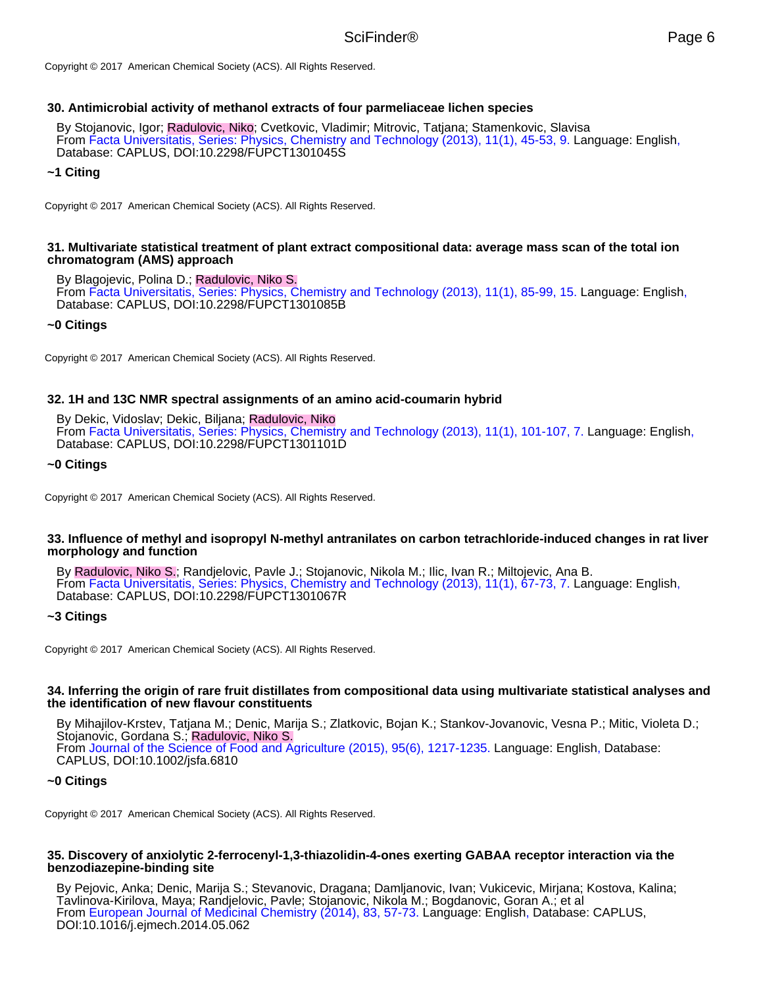Copyright © 2017 American Chemical Society (ACS). All Rights Reserved.

### **30. Antimicrobial activity of methanol extracts of four parmeliaceae lichen species**

By Stojanovic, Igor; Radulovic, Niko; Cvetkovic, Vladimir; Mitrovic, Tatjana; Stamenkovic, Slavisa From Facta Universitatis, Series: Physics, Chemistry and Technology (2013), 11(1), 45-53, 9. Language: English, Database: CAPLUS, DOI:10.2298/FUPCT1301045S

### **~1 Citing**

Copyright © 2017 American Chemical Society (ACS). All Rights Reserved.

### **31. Multivariate statistical treatment of plant extract compositional data: average mass scan of the total ion chromatogram (AMS) approach**

By Blagojevic, Polina D.; Radulovic, Niko S. From Facta Universitatis, Series: Physics, Chemistry and Technology (2013), 11(1), 85-99, 15. Language: English, Database: CAPLUS, DOI:10.2298/FUPCT1301085B

### **~0 Citings**

Copyright © 2017 American Chemical Society (ACS). All Rights Reserved.

### **32. 1H and 13C NMR spectral assignments of an amino acid-coumarin hybrid**

By Dekic, Vidoslav; Dekic, Biljana; Radulovic, Niko

From Facta Universitatis, Series: Physics, Chemistry and Technology (2013), 11(1), 101-107, 7. Language: English, Database: CAPLUS, DOI:10.2298/FUPCT1301101D

### **~0 Citings**

Copyright © 2017 American Chemical Society (ACS). All Rights Reserved.

### **33. Influence of methyl and isopropyl N-methyl antranilates on carbon tetrachloride-induced changes in rat liver morphology and function**

By Radulovic, Niko S.; Randjelovic, Pavle J.; Stojanovic, Nikola M.; Ilic, Ivan R.; Miltojevic, Ana B. From Facta Universitatis, Series: Physics, Chemistry and Technology (2013), 11(1), 67-73, 7. Language: English, Database: CAPLUS, DOI:10.2298/FUPCT1301067R

#### **~3 Citings**

Copyright © 2017 American Chemical Society (ACS). All Rights Reserved.

#### **34. Inferring the origin of rare fruit distillates from compositional data using multivariate statistical analyses and the identification of new flavour constituents**

By Mihajilov-Krstev, Tatjana M.; Denic, Marija S.; Zlatkovic, Bojan K.; Stankov-Jovanovic, Vesna P.; Mitic, Violeta D.; Stojanovic, Gordana S.; Radulovic, Niko S. From Journal of the Science of Food and Agriculture (2015), 95(6), 1217-1235. Language: English, Database: CAPLUS, DOI:10.1002/jsfa.6810

#### **~0 Citings**

Copyright © 2017 American Chemical Society (ACS). All Rights Reserved.

#### **35. Discovery of anxiolytic 2-ferrocenyl-1,3-thiazolidin-4-ones exerting GABAA receptor interaction via the benzodiazepine-binding site**

By Pejovic, Anka; Denic, Marija S.; Stevanovic, Dragana; Damljanovic, Ivan; Vukicevic, Mirjana; Kostova, Kalina; Tavlinova-Kirilova, Maya; Randjelovic, Pavle; Stojanovic, Nikola M.; Bogdanovic, Goran A.; et al From European Journal of Medicinal Chemistry (2014), 83, 57-73. Language: English, Database: CAPLUS, DOI:10.1016/j.ejmech.2014.05.062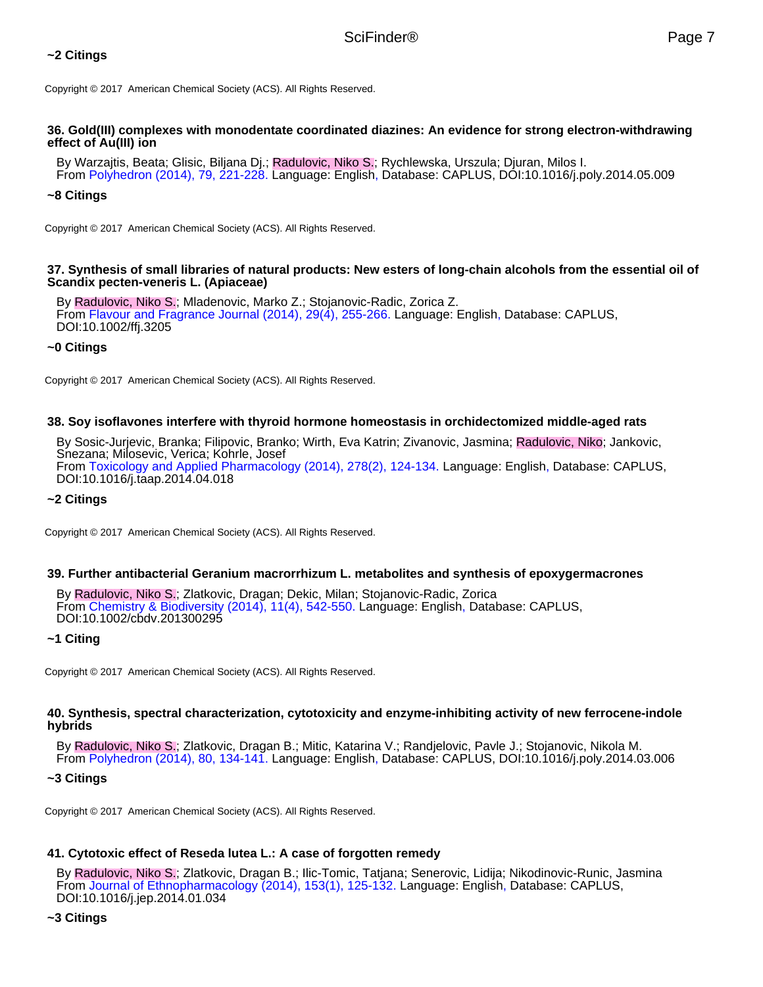# **~2 Citings**

Copyright © 2017 American Chemical Society (ACS). All Rights Reserved.

#### **36. Gold(III) complexes with monodentate coordinated diazines: An evidence for strong electron-withdrawing effect of Au(III) ion**

By Warzajtis, Beata; Glisic, Biljana Dj.; Radulovic, Niko S.; Rychlewska, Urszula; Djuran, Milos I. From Polyhedron (2014), 79, 221-228. Language: English, Database: CAPLUS, DOI:10.1016/j.poly.2014.05.009

### **~8 Citings**

Copyright © 2017 American Chemical Society (ACS). All Rights Reserved.

#### **37. Synthesis of small libraries of natural products: New esters of long-chain alcohols from the essential oil of Scandix pecten-veneris L. (Apiaceae)**

By Radulovic, Niko S.; Mladenovic, Marko Z.; Stojanovic-Radic, Zorica Z. From Flavour and Fragrance Journal (2014), 29(4), 255-266. Language: English, Database: CAPLUS, DOI:10.1002/ffj.3205

#### **~0 Citings**

Copyright © 2017 American Chemical Society (ACS). All Rights Reserved.

### **38. Soy isoflavones interfere with thyroid hormone homeostasis in orchidectomized middle-aged rats**

By Sosic-Jurjevic, Branka; Filipovic, Branko; Wirth, Eva Katrin; Zivanovic, Jasmina; Radulovic, Niko; Jankovic, Snezana; Milosevic, Verica; Kohrle, Josef From Toxicology and Applied Pharmacology (2014), 278(2), 124-134. Language: English, Database: CAPLUS, DOI:10.1016/j.taap.2014.04.018

#### **~2 Citings**

Copyright © 2017 American Chemical Society (ACS). All Rights Reserved.

#### **39. Further antibacterial Geranium macrorrhizum L. metabolites and synthesis of epoxygermacrones**

By Radulovic, Niko S.; Zlatkovic, Dragan; Dekic, Milan; Stojanovic-Radic, Zorica From Chemistry & Biodiversity (2014), 11(4), 542-550. Language: English, Database: CAPLUS, DOI:10.1002/cbdv.201300295

#### **~1 Citing**

Copyright © 2017 American Chemical Society (ACS). All Rights Reserved.

#### **40. Synthesis, spectral characterization, cytotoxicity and enzyme-inhibiting activity of new ferrocene-indole hybrids**

By Radulovic, Niko S.; Zlatkovic, Dragan B.; Mitic, Katarina V.; Randjelovic, Pavle J.; Stojanovic, Nikola M. From Polyhedron (2014), 80, 134-141. Language: English, Database: CAPLUS, DOI:10.1016/j.poly.2014.03.006

#### **~3 Citings**

Copyright © 2017 American Chemical Society (ACS). All Rights Reserved.

# **41. Cytotoxic effect of Reseda lutea L.: A case of forgotten remedy**

By Radulovic, Niko S.; Zlatkovic, Dragan B.; Ilic-Tomic, Tatjana; Senerovic, Lidija; Nikodinovic-Runic, Jasmina From Journal of Ethnopharmacology (2014), 153(1), 125-132. Language: English, Database: CAPLUS, DOI:10.1016/j.jep.2014.01.034

### **~3 Citings**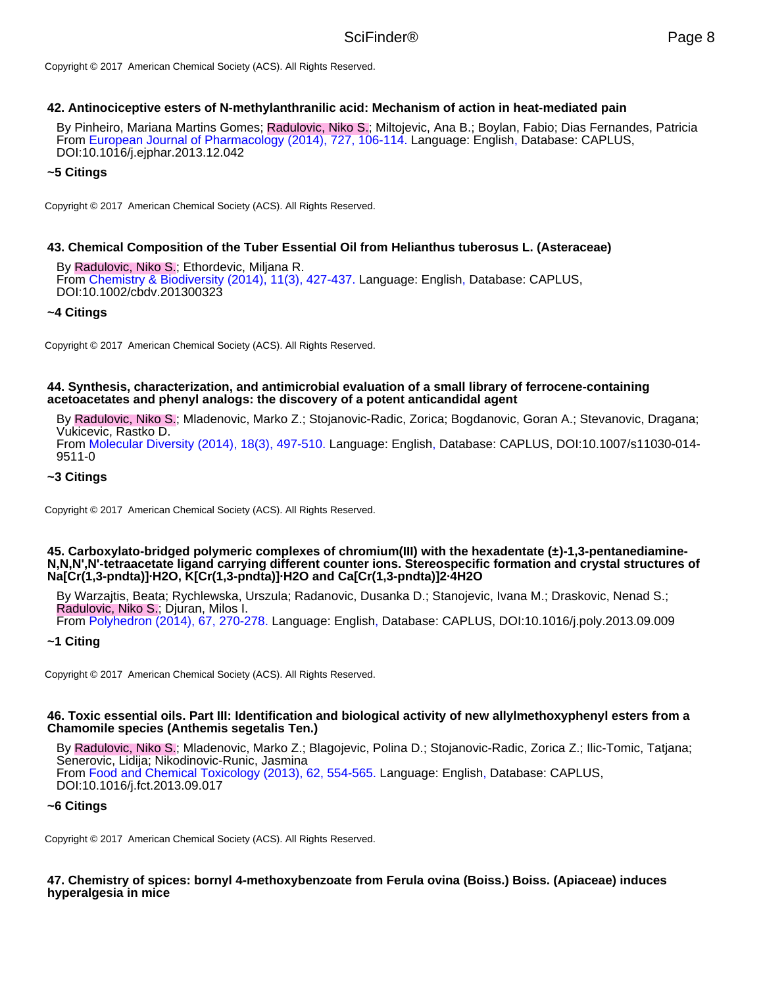Copyright © 2017 American Chemical Society (ACS). All Rights Reserved.

### **42. Antinociceptive esters of N-methylanthranilic acid: Mechanism of action in heat-mediated pain**

By Pinheiro, Mariana Martins Gomes; Radulovic, Niko S.; Miltojevic, Ana B.; Boylan, Fabio; Dias Fernandes, Patricia From European Journal of Pharmacology (2014), 727, 106-114. Language: English, Database: CAPLUS, DOI:10.1016/j.ejphar.2013.12.042

## **~5 Citings**

Copyright © 2017 American Chemical Society (ACS). All Rights Reserved.

## **43. Chemical Composition of the Tuber Essential Oil from Helianthus tuberosus L. (Asteraceae)**

By Radulovic, Niko S.; Ethordevic, Miljana R. From Chemistry & Biodiversity (2014), 11(3), 427-437. Language: English, Database: CAPLUS, DOI:10.1002/cbdv.201300323

## **~4 Citings**

Copyright © 2017 American Chemical Society (ACS). All Rights Reserved.

### **44. Synthesis, characterization, and antimicrobial evaluation of a small library of ferrocene-containing acetoacetates and phenyl analogs: the discovery of a potent anticandidal agent**

By Radulovic, Niko S.; Mladenovic, Marko Z.; Stojanovic-Radic, Zorica; Bogdanovic, Goran A.; Stevanovic, Dragana; Vukicevic, Rastko D. From Molecular Diversity (2014), 18(3), 497-510. Language: English, Database: CAPLUS, DOI:10.1007/s11030-014- 9511-0

## **~3 Citings**

Copyright © 2017 American Chemical Society (ACS). All Rights Reserved.

#### **45. Carboxylato-bridged polymeric complexes of chromium(III) with the hexadentate (±)-1,3-pentanediamine-N,N,N',N'-tetraacetate ligand carrying different counter ions. Stereospecific formation and crystal structures of Na[Cr(1,3-pndta)]·H2O, K[Cr(1,3-pndta)]·H2O and Ca[Cr(1,3-pndta)]2·4H2O**

By Warzajtis, Beata; Rychlewska, Urszula; Radanovic, Dusanka D.; Stanojevic, Ivana M.; Draskovic, Nenad S.; Radulovic, Niko S.; Djuran, Milos I.

From Polyhedron (2014), 67, 270-278. Language: English, Database: CAPLUS, DOI:10.1016/j.poly.2013.09.009

# **~1 Citing**

Copyright © 2017 American Chemical Society (ACS). All Rights Reserved.

#### **46. Toxic essential oils. Part III: Identification and biological activity of new allylmethoxyphenyl esters from a Chamomile species (Anthemis segetalis Ten.)**

By Radulovic, Niko S.; Mladenovic, Marko Z.; Blagojevic, Polina D.; Stojanovic-Radic, Zorica Z.; Ilic-Tomic, Tatjana; Senerovic, Lidija; Nikodinovic-Runic, Jasmina From Food and Chemical Toxicology (2013), 62, 554-565. Language: English, Database: CAPLUS, DOI:10.1016/j.fct.2013.09.017

### **~6 Citings**

Copyright © 2017 American Chemical Society (ACS). All Rights Reserved.

**47. Chemistry of spices: bornyl 4-methoxybenzoate from Ferula ovina (Boiss.) Boiss. (Apiaceae) induces hyperalgesia in mice**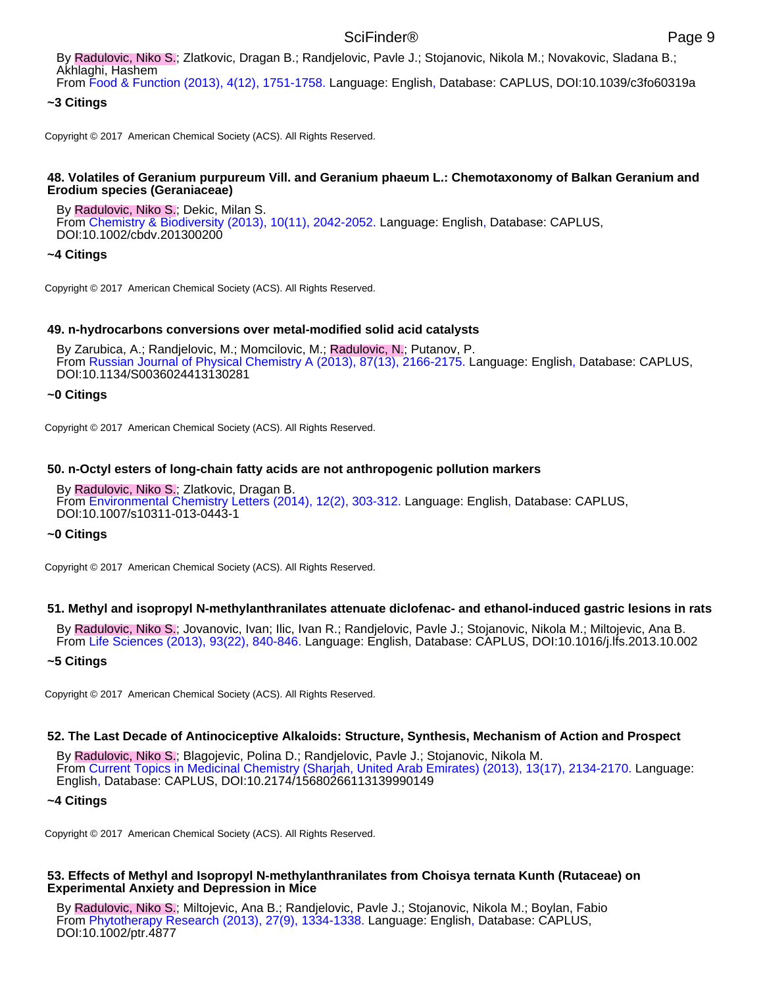# From Food & Function (2013), 4(12), 1751-1758. Language: English, Database: CAPLUS, DOI:10.1039/c3fo60319a

# **~3 Citings**

Copyright © 2017 American Chemical Society (ACS). All Rights Reserved.

### **48. Volatiles of Geranium purpureum Vill. and Geranium phaeum L.: Chemotaxonomy of Balkan Geranium and Erodium species (Geraniaceae)**

By Radulovic, Niko S.; Dekic, Milan S. From Chemistry & Biodiversity (2013), 10(11), 2042-2052. Language: English, Database: CAPLUS, DOI:10.1002/cbdv.201300200

### **~4 Citings**

Copyright © 2017 American Chemical Society (ACS). All Rights Reserved.

## **49. n-hydrocarbons conversions over metal-modified solid acid catalysts**

By Zarubica, A.; Randjelovic, M.; Momcilovic, M.; Radulovic, N.; Putanov, P. From Russian Journal of Physical Chemistry A (2013), 87(13), 2166-2175. Language: English, Database: CAPLUS, DOI:10.1134/S0036024413130281

## **~0 Citings**

Copyright © 2017 American Chemical Society (ACS). All Rights Reserved.

### **50. n-Octyl esters of long-chain fatty acids are not anthropogenic pollution markers**

By Radulovic, Niko S.; Zlatkovic, Dragan B. From Environmental Chemistry Letters (2014), 12(2), 303-312. Language: English, Database: CAPLUS, DOI:10.1007/s10311-013-0443-1

### **~0 Citings**

Copyright © 2017 American Chemical Society (ACS). All Rights Reserved.

### **51. Methyl and isopropyl N-methylanthranilates attenuate diclofenac- and ethanol-induced gastric lesions in rats**

By Radulovic, Niko S.; Jovanovic, Ivan; Ilic, Ivan R.; Randjelovic, Pavle J.; Stojanovic, Nikola M.; Miltojevic, Ana B. From Life Sciences (2013), 93(22), 840-846. Language: English, Database: CAPLUS, DOI:10.1016/j.lfs.2013.10.002

### **~5 Citings**

Copyright © 2017 American Chemical Society (ACS). All Rights Reserved.

### **52. The Last Decade of Antinociceptive Alkaloids: Structure, Synthesis, Mechanism of Action and Prospect**

By Radulovic, Niko S.; Blagojevic, Polina D.; Randjelovic, Pavle J.; Stojanovic, Nikola M. From Current Topics in Medicinal Chemistry (Sharjah, United Arab Emirates) (2013), 13(17), 2134-2170. Language: English, Database: CAPLUS, DOI:10.2174/15680266113139990149

### **~4 Citings**

Copyright © 2017 American Chemical Society (ACS). All Rights Reserved.

### **53. Effects of Methyl and Isopropyl N-methylanthranilates from Choisya ternata Kunth (Rutaceae) on Experimental Anxiety and Depression in Mice**

By Radulovic, Niko S.; Miltojevic, Ana B.; Randjelovic, Pavle J.; Stojanovic, Nikola M.; Boylan, Fabio From Phytotherapy Research (2013), 27(9), 1334-1338. Language: English, Database: CAPLUS, DOI:10.1002/ptr.4877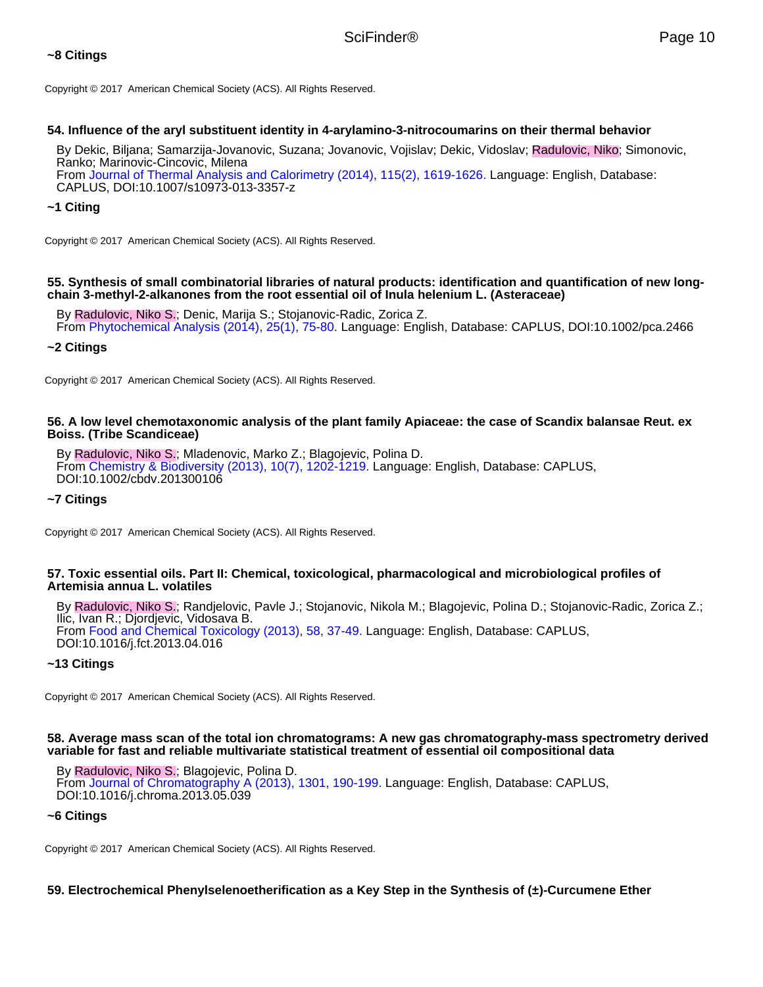# **~8 Citings**

Copyright © 2017 American Chemical Society (ACS). All Rights Reserved.

# **54. Influence of the aryl substituent identity in 4-arylamino-3-nitrocoumarins on their thermal behavior**

By Dekic, Biljana; Samarzija-Jovanovic, Suzana; Jovanovic, Vojislav; Dekic, Vidoslav; Radulovic, Niko; Simonovic, Ranko; Marinovic-Cincovic, Milena From Journal of Thermal Analysis and Calorimetry (2014), 115(2), 1619-1626. Language: English, Database: CAPLUS, DOI:10.1007/s10973-013-3357-z

# **~1 Citing**

Copyright © 2017 American Chemical Society (ACS). All Rights Reserved.

### **55. Synthesis of small combinatorial libraries of natural products: identification and quantification of new longchain 3-methyl-2-alkanones from the root essential oil of Inula helenium L. (Asteraceae)**

By Radulovic, Niko S.; Denic, Marija S.; Stojanovic-Radic, Zorica Z. From Phytochemical Analysis (2014), 25(1), 75-80. Language: English, Database: CAPLUS, DOI:10.1002/pca.2466

### **~2 Citings**

Copyright © 2017 American Chemical Society (ACS). All Rights Reserved.

### **56. A low level chemotaxonomic analysis of the plant family Apiaceae: the case of Scandix balansae Reut. ex Boiss. (Tribe Scandiceae)**

By Radulovic, Niko S.; Mladenovic, Marko Z.; Blagojevic, Polina D. From Chemistry & Biodiversity (2013), 10(7), 1202-1219. Language: English, Database: CAPLUS, DOI:10.1002/cbdv.201300106

### **~7 Citings**

Copyright © 2017 American Chemical Society (ACS). All Rights Reserved.

### **57. Toxic essential oils. Part II: Chemical, toxicological, pharmacological and microbiological profiles of Artemisia annua L. volatiles**

By Radulovic, Niko S.; Randjelovic, Pavle J.; Stojanovic, Nikola M.; Blagojevic, Polina D.; Stojanovic-Radic, Zorica Z.; Ilic, Ivan R.; Djordjevic, Vidosava B. From Food and Chemical Toxicology (2013), 58, 37-49. Language: English, Database: CAPLUS, DOI:10.1016/j.fct.2013.04.016

### **~13 Citings**

Copyright © 2017 American Chemical Society (ACS). All Rights Reserved.

### **58. Average mass scan of the total ion chromatograms: A new gas chromatography-mass spectrometry derived variable for fast and reliable multivariate statistical treatment of essential oil compositional data**

By Radulovic, Niko S.; Blagojevic, Polina D.

From Journal of Chromatography A (2013), 1301, 190-199. Language: English, Database: CAPLUS, DOI:10.1016/j.chroma.2013.05.039

### **~6 Citings**

Copyright © 2017 American Chemical Society (ACS). All Rights Reserved.

# **59. Electrochemical Phenylselenoetherification as a Key Step in the Synthesis of (±)-Curcumene Ether**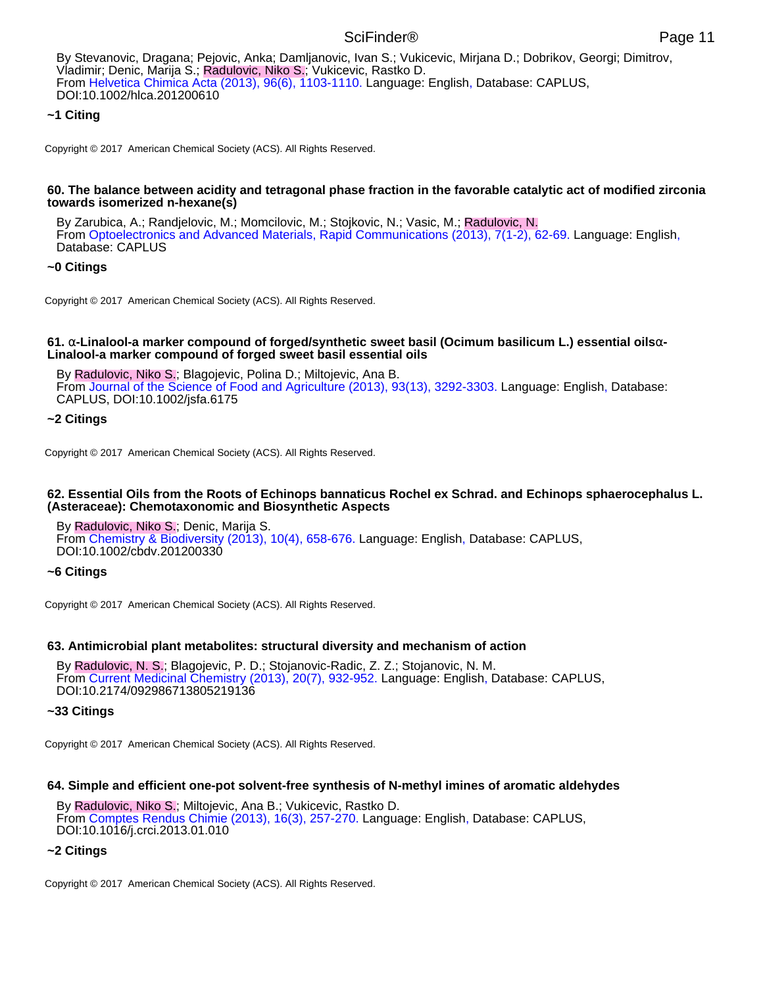# **~1 Citing**

Copyright © 2017 American Chemical Society (ACS). All Rights Reserved.

#### **60. The balance between acidity and tetragonal phase fraction in the favorable catalytic act of modified zirconia towards isomerized n-hexane(s)**

By Zarubica, A.; Randjelovic, M.; Momcilovic, M.; Stojkovic, N.; Vasic, M.; Radulovic, N. From Optoelectronics and Advanced Materials, Rapid Communications (2013), 7(1-2), 62-69. Language: English, Database: CAPLUS

# **~0 Citings**

Copyright © 2017 American Chemical Society (ACS). All Rights Reserved.

### **61.** α**-Linalool-a marker compound of forged/synthetic sweet basil (Ocimum basilicum L.) essential oils**α**-Linalool-a marker compound of forged sweet basil essential oils**

By Radulovic, Niko S.; Blagojevic, Polina D.; Miltojevic, Ana B. From Journal of the Science of Food and Agriculture (2013), 93(13), 3292-3303. Language: English, Database: CAPLUS, DOI:10.1002/jsfa.6175

### **~2 Citings**

Copyright © 2017 American Chemical Society (ACS). All Rights Reserved.

### **62. Essential Oils from the Roots of Echinops bannaticus Rochel ex Schrad. and Echinops sphaerocephalus L. (Asteraceae): Chemotaxonomic and Biosynthetic Aspects**

By Radulovic, Niko S.; Denic, Marija S. From Chemistry & Biodiversity (2013), 10(4), 658-676. Language: English, Database: CAPLUS, DOI:10.1002/cbdv.201200330

### **~6 Citings**

Copyright © 2017 American Chemical Society (ACS). All Rights Reserved.

### **63. Antimicrobial plant metabolites: structural diversity and mechanism of action**

By Radulovic, N. S.; Blagojevic, P. D.; Stojanovic-Radic, Z. Z.; Stojanovic, N. M. From Current Medicinal Chemistry (2013), 20(7), 932-952. Language: English, Database: CAPLUS, DOI:10.2174/092986713805219136

### **~33 Citings**

Copyright © 2017 American Chemical Society (ACS). All Rights Reserved.

### **64. Simple and efficient one-pot solvent-free synthesis of N-methyl imines of aromatic aldehydes**

By Radulovic, Niko S.; Miltojevic, Ana B.; Vukicevic, Rastko D. From Comptes Rendus Chimie (2013), 16(3), 257-270. Language: English, Database: CAPLUS, DOI:10.1016/j.crci.2013.01.010

# **~2 Citings**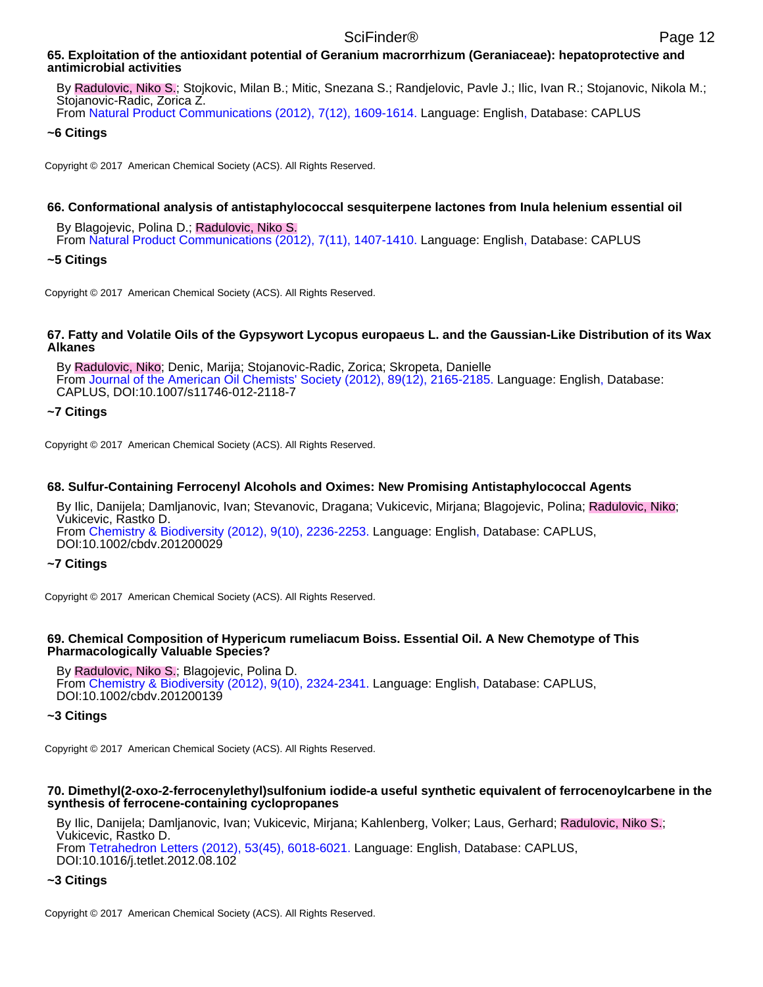### **65. Exploitation of the antioxidant potential of Geranium macrorrhizum (Geraniaceae): hepatoprotective and antimicrobial activities**

By Radulovic, Niko S.; Stojkovic, Milan B.; Mitic, Snezana S.; Randjelovic, Pavle J.; Ilic, Ivan R.; Stojanovic, Nikola M.; Stojanovic-Radic, Zorica Z.

From Natural Product Communications (2012), 7(12), 1609-1614. Language: English, Database: CAPLUS

## **~6 Citings**

Copyright © 2017 American Chemical Society (ACS). All Rights Reserved.

# **66. Conformational analysis of antistaphylococcal sesquiterpene lactones from Inula helenium essential oil**

By Blagojevic, Polina D.; Radulovic, Niko S. From Natural Product Communications (2012), 7(11), 1407-1410. Language: English, Database: CAPLUS

## **~5 Citings**

Copyright © 2017 American Chemical Society (ACS). All Rights Reserved.

### **67. Fatty and Volatile Oils of the Gypsywort Lycopus europaeus L. and the Gaussian-Like Distribution of its Wax Alkanes**

By Radulovic, Niko; Denic, Marija; Stojanovic-Radic, Zorica; Skropeta, Danielle From Journal of the American Oil Chemists' Society (2012), 89(12), 2165-2185. Language: English, Database: CAPLUS, DOI:10.1007/s11746-012-2118-7

### **~7 Citings**

Copyright © 2017 American Chemical Society (ACS). All Rights Reserved.

## **68. Sulfur-Containing Ferrocenyl Alcohols and Oximes: New Promising Antistaphylococcal Agents**

By Ilic, Danijela; Damljanovic, Ivan; Stevanovic, Dragana; Vukicevic, Mirjana; Blagojevic, Polina; Radulovic, Niko; Vukicevic, Rastko D. From Chemistry & Biodiversity (2012), 9(10), 2236-2253. Language: English, Database: CAPLUS, DOI:10.1002/cbdv.201200029

# **~7 Citings**

Copyright © 2017 American Chemical Society (ACS). All Rights Reserved.

### **69. Chemical Composition of Hypericum rumeliacum Boiss. Essential Oil. A New Chemotype of This Pharmacologically Valuable Species?**

By Radulovic, Niko S.; Blagojevic, Polina D. From Chemistry & Biodiversity (2012), 9(10), 2324-2341. Language: English, Database: CAPLUS, DOI:10.1002/cbdv.201200139

# **~3 Citings**

Copyright © 2017 American Chemical Society (ACS). All Rights Reserved.

### **70. Dimethyl(2-oxo-2-ferrocenylethyl)sulfonium iodide-a useful synthetic equivalent of ferrocenoylcarbene in the synthesis of ferrocene-containing cyclopropanes**

By Ilic, Danijela; Damljanovic, Ivan; Vukicevic, Mirjana; Kahlenberg, Volker; Laus, Gerhard; Radulovic, Niko S.; Vukicevic, Rastko D. From Tetrahedron Letters (2012), 53(45), 6018-6021. Language: English, Database: CAPLUS,

DOI:10.1016/j.tetlet.2012.08.102

# **~3 Citings**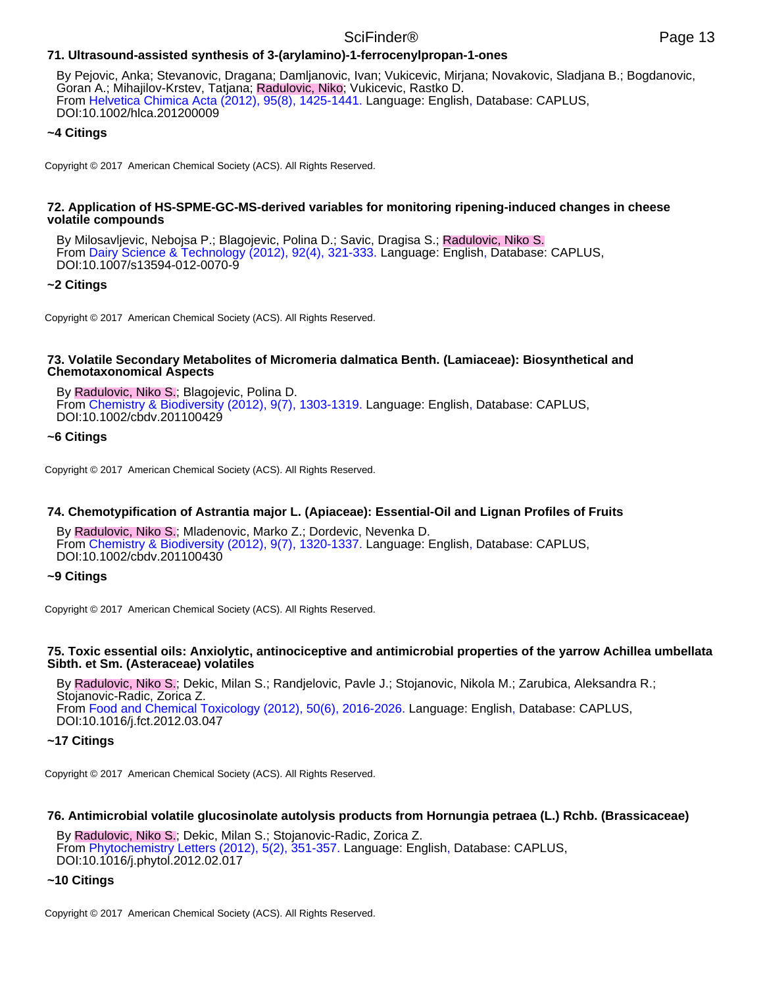# **71. Ultrasound-assisted synthesis of 3-(arylamino)-1-ferrocenylpropan-1-ones**

By Pejovic, Anka; Stevanovic, Dragana; Damljanovic, Ivan; Vukicevic, Mirjana; Novakovic, Sladjana B.; Bogdanovic, Goran A.; Mihajilov-Krstev, Tatjana; Radulovic, Niko; Vukicevic, Rastko D. From Helvetica Chimica Acta (2012), 95(8), 1425-1441. Language: English, Database: CAPLUS, DOI:10.1002/hlca.201200009

# **~4 Citings**

Copyright © 2017 American Chemical Society (ACS). All Rights Reserved.

#### **72. Application of HS-SPME-GC-MS-derived variables for monitoring ripening-induced changes in cheese volatile compounds**

By Milosavljevic, Nebojsa P.; Blagojevic, Polina D.; Savic, Dragisa S.; Radulovic, Niko S. From Dairy Science & Technology (2012), 92(4), 321-333. Language: English, Database: CAPLUS, DOI:10.1007/s13594-012-0070-9

# **~2 Citings**

Copyright © 2017 American Chemical Society (ACS). All Rights Reserved.

### **73. Volatile Secondary Metabolites of Micromeria dalmatica Benth. (Lamiaceae): Biosynthetical and Chemotaxonomical Aspects**

By Radulovic, Niko S.; Blagojevic, Polina D. From Chemistry & Biodiversity (2012), 9(7), 1303-1319. Language: English, Database: CAPLUS, DOI:10.1002/cbdv.201100429

## **~6 Citings**

Copyright © 2017 American Chemical Society (ACS). All Rights Reserved.

# **74. Chemotypification of Astrantia major L. (Apiaceae): Essential-Oil and Lignan Profiles of Fruits**

By Radulovic, Niko S.; Mladenovic, Marko Z.; Dordevic, Nevenka D. From Chemistry & Biodiversity (2012), 9(7), 1320-1337. Language: English, Database: CAPLUS, DOI:10.1002/cbdv.201100430

### **~9 Citings**

Copyright © 2017 American Chemical Society (ACS). All Rights Reserved.

### **75. Toxic essential oils: Anxiolytic, antinociceptive and antimicrobial properties of the yarrow Achillea umbellata Sibth. et Sm. (Asteraceae) volatiles**

By Radulovic, Niko S.; Dekic, Milan S.; Randjelovic, Pavle J.; Stojanovic, Nikola M.; Zarubica, Aleksandra R.; Stojanovic-Radic, Zorica Z. From Food and Chemical Toxicology (2012), 50(6), 2016-2026. Language: English, Database: CAPLUS, DOI:10.1016/j.fct.2012.03.047

### **~17 Citings**

Copyright © 2017 American Chemical Society (ACS). All Rights Reserved.

### **76. Antimicrobial volatile glucosinolate autolysis products from Hornungia petraea (L.) Rchb. (Brassicaceae)**

By Radulovic, Niko S.; Dekic, Milan S.; Stojanovic-Radic, Zorica Z. From Phytochemistry Letters (2012), 5(2), 351-357. Language: English, Database: CAPLUS, DOI:10.1016/j.phytol.2012.02.017

### **~10 Citings**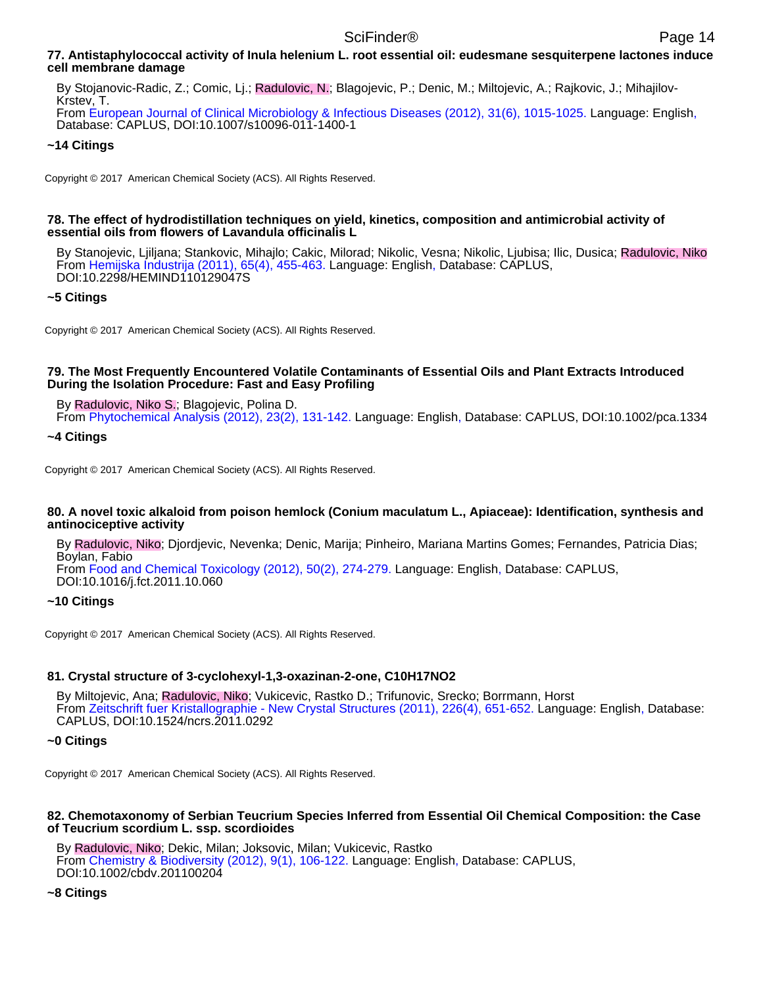# **77. Antistaphylococcal activity of Inula helenium L. root essential oil: eudesmane sesquiterpene lactones induce cell membrane damage**

By Stojanovic-Radic, Z.; Comic, Lj.; Radulovic, N.; Blagojevic, P.; Denic, M.; Miltojevic, A.; Rajkovic, J.; Mihajilov-Krstev, T.

From European Journal of Clinical Microbiology & Infectious Diseases (2012), 31(6), 1015-1025. Language: English, Database: CAPLUS, DOI:10.1007/s10096-011-1400-1

# **~14 Citings**

Copyright © 2017 American Chemical Society (ACS). All Rights Reserved.

### **78. The effect of hydrodistillation techniques on yield, kinetics, composition and antimicrobial activity of essential oils from flowers of Lavandula officinalis L**

By Stanojevic, Ljiljana; Stankovic, Mihajlo; Cakic, Milorad; Nikolic, Vesna; Nikolic, Ljubisa; Ilic, Dusica; Radulovic, Niko From Hemijska Industrija (2011), 65(4), 455-463. Language: English, Database: CAPLUS, DOI:10.2298/HEMIND110129047S

# **~5 Citings**

Copyright © 2017 American Chemical Society (ACS). All Rights Reserved.

### **79. The Most Frequently Encountered Volatile Contaminants of Essential Oils and Plant Extracts Introduced During the Isolation Procedure: Fast and Easy Profiling**

By Radulovic, Niko S.; Blagojevic, Polina D.

From Phytochemical Analysis (2012), 23(2), 131-142. Language: English, Database: CAPLUS, DOI:10.1002/pca.1334

### **~4 Citings**

Copyright © 2017 American Chemical Society (ACS). All Rights Reserved.

### **80. A novel toxic alkaloid from poison hemlock (Conium maculatum L., Apiaceae): Identification, synthesis and antinociceptive activity**

By Radulovic, Niko; Djordjevic, Nevenka; Denic, Marija; Pinheiro, Mariana Martins Gomes; Fernandes, Patricia Dias; Boylan, Fabio

From Food and Chemical Toxicology (2012), 50(2), 274-279. Language: English, Database: CAPLUS, DOI:10.1016/j.fct.2011.10.060

### **~10 Citings**

Copyright © 2017 American Chemical Society (ACS). All Rights Reserved.

# **81. Crystal structure of 3-cyclohexyl-1,3-oxazinan-2-one, C10H17NO2**

By Miltojevic, Ana; Radulovic, Niko; Vukicevic, Rastko D.; Trifunovic, Srecko; Borrmann, Horst From Zeitschrift fuer Kristallographie - New Crystal Structures (2011), 226(4), 651-652. Language: English, Database: CAPLUS, DOI:10.1524/ncrs.2011.0292

### **~0 Citings**

Copyright © 2017 American Chemical Society (ACS). All Rights Reserved.

### **82. Chemotaxonomy of Serbian Teucrium Species Inferred from Essential Oil Chemical Composition: the Case of Teucrium scordium L. ssp. scordioides**

By Radulovic, Niko; Dekic, Milan; Joksovic, Milan; Vukicevic, Rastko From Chemistry & Biodiversity (2012), 9(1), 106-122. Language: English, Database: CAPLUS, DOI:10.1002/cbdv.201100204

### **~8 Citings**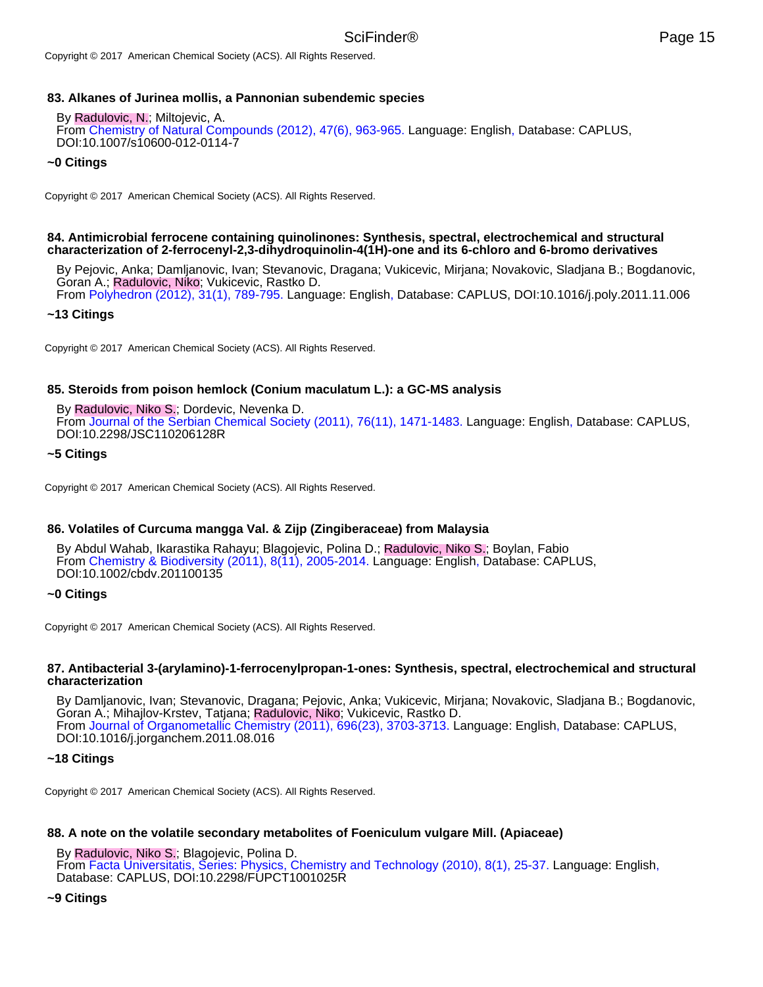## **83. Alkanes of Jurinea mollis, a Pannonian subendemic species**

#### By Radulovic, N.; Miltojevic, A.

From Chemistry of Natural Compounds (2012), 47(6), 963-965. Language: English, Database: CAPLUS, DOI:10.1007/s10600-012-0114-7

### **~0 Citings**

Copyright © 2017 American Chemical Society (ACS). All Rights Reserved.

### **84. Antimicrobial ferrocene containing quinolinones: Synthesis, spectral, electrochemical and structural characterization of 2-ferrocenyl-2,3-dihydroquinolin-4(1H)-one and its 6-chloro and 6-bromo derivatives**

By Pejovic, Anka; Damljanovic, Ivan; Stevanovic, Dragana; Vukicevic, Mirjana; Novakovic, Sladjana B.; Bogdanovic, Goran A.; Radulovic, Niko; Vukicevic, Rastko D.

From Polyhedron (2012), 31(1), 789-795. Language: English, Database: CAPLUS, DOI:10.1016/j.poly.2011.11.006

### **~13 Citings**

Copyright © 2017 American Chemical Society (ACS). All Rights Reserved.

### **85. Steroids from poison hemlock (Conium maculatum L.): a GC-MS analysis**

By Radulovic, Niko S.; Dordevic, Nevenka D. From Journal of the Serbian Chemical Society (2011), 76(11), 1471-1483. Language: English, Database: CAPLUS, DOI:10.2298/JSC110206128R

### **~5 Citings**

Copyright © 2017 American Chemical Society (ACS). All Rights Reserved.

### **86. Volatiles of Curcuma mangga Val. & Zijp (Zingiberaceae) from Malaysia**

By Abdul Wahab, Ikarastika Rahayu; Blagojevic, Polina D.; Radulovic, Niko S.; Boylan, Fabio From Chemistry & Biodiversity (2011), 8(11), 2005-2014. Language: English, Database: CAPLUS, DOI:10.1002/cbdv.201100135

### **~0 Citings**

Copyright © 2017 American Chemical Society (ACS). All Rights Reserved.

#### **87. Antibacterial 3-(arylamino)-1-ferrocenylpropan-1-ones: Synthesis, spectral, electrochemical and structural characterization**

By Damljanovic, Ivan; Stevanovic, Dragana; Pejovic, Anka; Vukicevic, Mirjana; Novakovic, Sladjana B.; Bogdanovic, Goran A.; Mihajlov-Krstev, Tatjana; Radulovic, Niko; Vukicevic, Rastko D. From Journal of Organometallic Chemistry (2011), 696(23), 3703-3713. Language: English, Database: CAPLUS, DOI:10.1016/j.jorganchem.2011.08.016

### **~18 Citings**

Copyright © 2017 American Chemical Society (ACS). All Rights Reserved.

### **88. A note on the volatile secondary metabolites of Foeniculum vulgare Mill. (Apiaceae)**

By Radulovic, Niko S.; Blagojevic, Polina D.

From Facta Universitatis, Series: Physics, Chemistry and Technology (2010), 8(1), 25-37. Language: English, Database: CAPLUS, DOI:10.2298/FUPCT1001025R

#### **~9 Citings**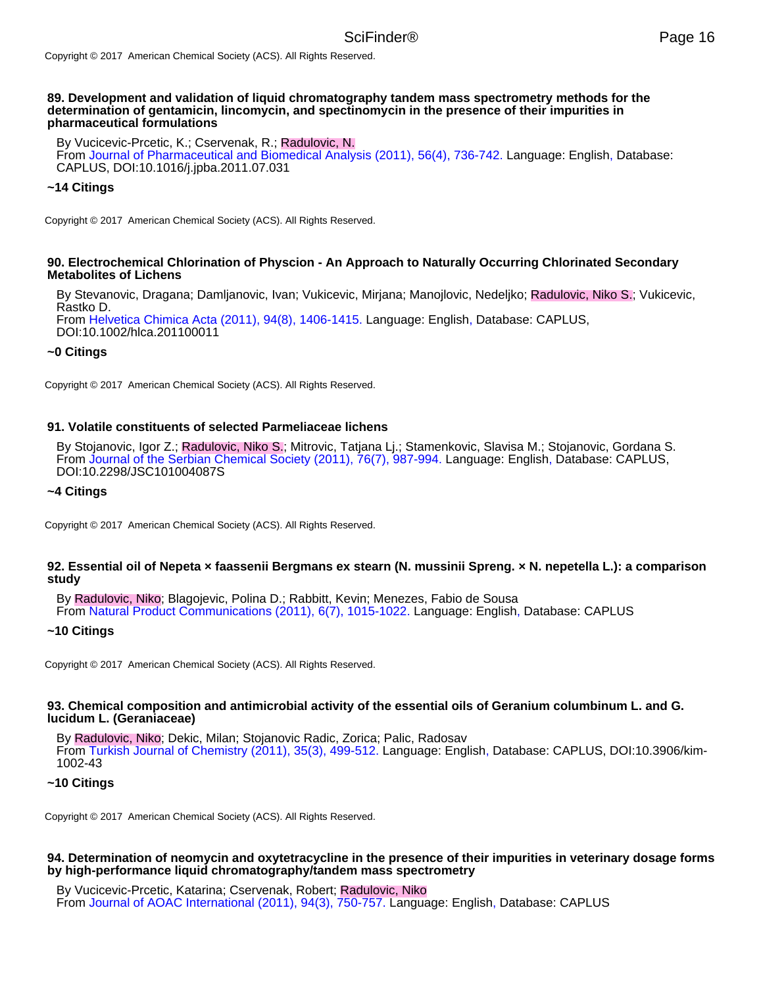#### **89. Development and validation of liquid chromatography tandem mass spectrometry methods for the determination of gentamicin, lincomycin, and spectinomycin in the presence of their impurities in pharmaceutical formulations**

By Vucicevic-Prcetic, K.; Cservenak, R.; Radulovic, N. From Journal of Pharmaceutical and Biomedical Analysis (2011), 56(4), 736-742. Language: English, Database: CAPLUS, DOI:10.1016/j.jpba.2011.07.031

### **~14 Citings**

Copyright © 2017 American Chemical Society (ACS). All Rights Reserved.

### **90. Electrochemical Chlorination of Physcion - An Approach to Naturally Occurring Chlorinated Secondary Metabolites of Lichens**

By Stevanovic, Dragana; Damljanovic, Ivan; Vukicevic, Mirjana; Manojlovic, Nedeljko; Radulovic, Niko S.; Vukicevic, Rastko D. From Helvetica Chimica Acta (2011), 94(8), 1406-1415. Language: English, Database: CAPLUS,

DOI:10.1002/hlca.201100011

#### **~0 Citings**

Copyright © 2017 American Chemical Society (ACS). All Rights Reserved.

#### **91. Volatile constituents of selected Parmeliaceae lichens**

By Stojanovic, Igor Z.; Radulovic, Niko S.; Mitrovic, Tatjana Lj.; Stamenkovic, Slavisa M.; Stojanovic, Gordana S. From Journal of the Serbian Chemical Society (2011), 76(7), 987-994. Language: English, Database: CAPLUS, DOI:10.2298/JSC101004087S

#### **~4 Citings**

Copyright © 2017 American Chemical Society (ACS). All Rights Reserved.

### **92. Essential oil of Nepeta × faassenii Bergmans ex stearn (N. mussinii Spreng. × N. nepetella L.): a comparison study**

By Radulovic, Niko; Blagojevic, Polina D.; Rabbitt, Kevin; Menezes, Fabio de Sousa From Natural Product Communications (2011), 6(7), 1015-1022. Language: English, Database: CAPLUS

#### **~10 Citings**

Copyright © 2017 American Chemical Society (ACS). All Rights Reserved.

#### **93. Chemical composition and antimicrobial activity of the essential oils of Geranium columbinum L. and G. lucidum L. (Geraniaceae)**

By Radulovic, Niko; Dekic, Milan; Stojanovic Radic, Zorica; Palic, Radosav From Turkish Journal of Chemistry (2011), 35(3), 499-512. Language: English, Database: CAPLUS, DOI:10.3906/kim-1002-43

#### **~10 Citings**

Copyright © 2017 American Chemical Society (ACS). All Rights Reserved.

### **94. Determination of neomycin and oxytetracycline in the presence of their impurities in veterinary dosage forms by high-performance liquid chromatography/tandem mass spectrometry**

By Vucicevic-Prcetic, Katarina; Cservenak, Robert; Radulovic, Niko From Journal of AOAC International (2011), 94(3), 750-757. Language: English, Database: CAPLUS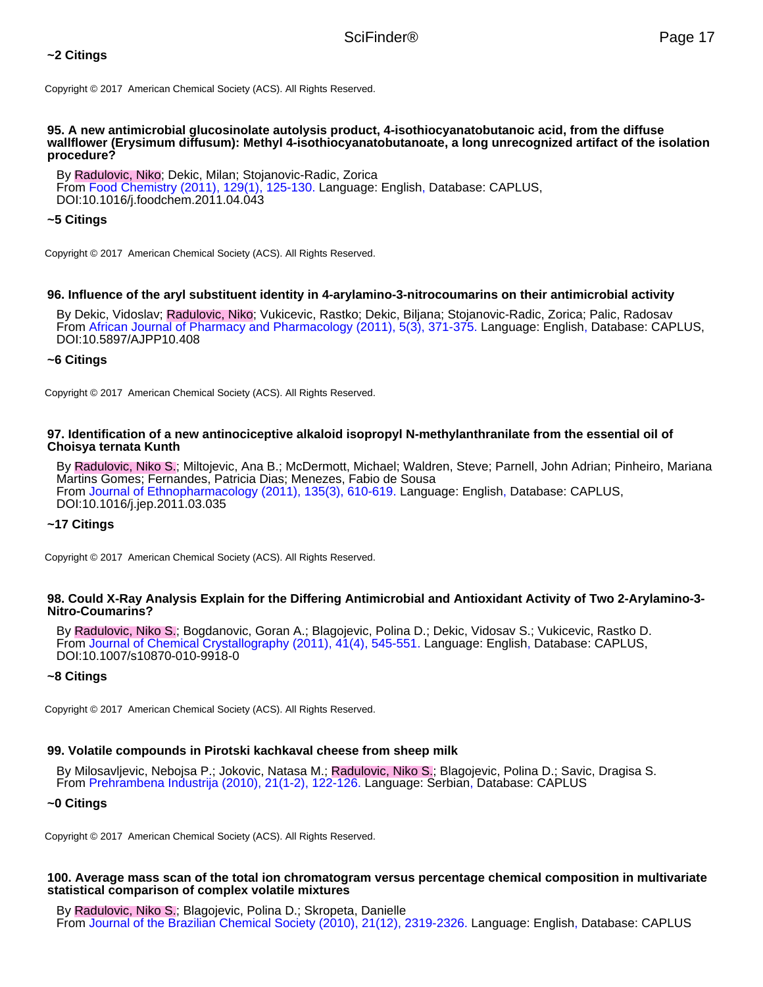# **~2 Citings**

Copyright © 2017 American Chemical Society (ACS). All Rights Reserved.

#### **95. A new antimicrobial glucosinolate autolysis product, 4-isothiocyanatobutanoic acid, from the diffuse wallflower (Erysimum diffusum): Methyl 4-isothiocyanatobutanoate, a long unrecognized artifact of the isolation procedure?**

By Radulovic, Niko; Dekic, Milan; Stojanovic-Radic, Zorica From Food Chemistry (2011), 129(1), 125-130. Language: English, Database: CAPLUS, DOI:10.1016/j.foodchem.2011.04.043

### **~5 Citings**

Copyright © 2017 American Chemical Society (ACS). All Rights Reserved.

### **96. Influence of the aryl substituent identity in 4-arylamino-3-nitrocoumarins on their antimicrobial activity**

By Dekic, Vidoslav; Radulovic, Niko; Vukicevic, Rastko; Dekic, Biljana; Stojanovic-Radic, Zorica; Palic, Radosav From African Journal of Pharmacy and Pharmacology (2011), 5(3), 371-375. Language: English, Database: CAPLUS, DOI:10.5897/AJPP10.408

## **~6 Citings**

Copyright © 2017 American Chemical Society (ACS). All Rights Reserved.

#### **97. Identification of a new antinociceptive alkaloid isopropyl N-methylanthranilate from the essential oil of Choisya ternata Kunth**

By Radulovic, Niko S.; Miltojevic, Ana B.; McDermott, Michael; Waldren, Steve; Parnell, John Adrian; Pinheiro, Mariana Martins Gomes; Fernandes, Patricia Dias; Menezes, Fabio de Sousa From Journal of Ethnopharmacology (2011), 135(3), 610-619. Language: English, Database: CAPLUS, DOI:10.1016/j.jep.2011.03.035

### **~17 Citings**

Copyright © 2017 American Chemical Society (ACS). All Rights Reserved.

#### **98. Could X-Ray Analysis Explain for the Differing Antimicrobial and Antioxidant Activity of Two 2-Arylamino-3- Nitro-Coumarins?**

By Radulovic, Niko S.; Bogdanovic, Goran A.; Blagojevic, Polina D.; Dekic, Vidosav S.; Vukicevic, Rastko D. From Journal of Chemical Crystallography (2011), 41(4), 545-551. Language: English, Database: CAPLUS, DOI:10.1007/s10870-010-9918-0

### **~8 Citings**

Copyright © 2017 American Chemical Society (ACS). All Rights Reserved.

### **99. Volatile compounds in Pirotski kachkaval cheese from sheep milk**

By Milosavljevic, Nebojsa P.; Jokovic, Natasa M.; Radulovic, Niko S.; Blagojevic, Polina D.; Savic, Dragisa S. From Prehrambena Industrija (2010), 21(1-2), 122-126. Language: Serbian, Database: CAPLUS

#### **~0 Citings**

Copyright © 2017 American Chemical Society (ACS). All Rights Reserved.

### **100. Average mass scan of the total ion chromatogram versus percentage chemical composition in multivariate statistical comparison of complex volatile mixtures**

By Radulovic, Niko S.; Blagojevic, Polina D.; Skropeta, Danielle From Journal of the Brazilian Chemical Society (2010), 21(12), 2319-2326. Language: English, Database: CAPLUS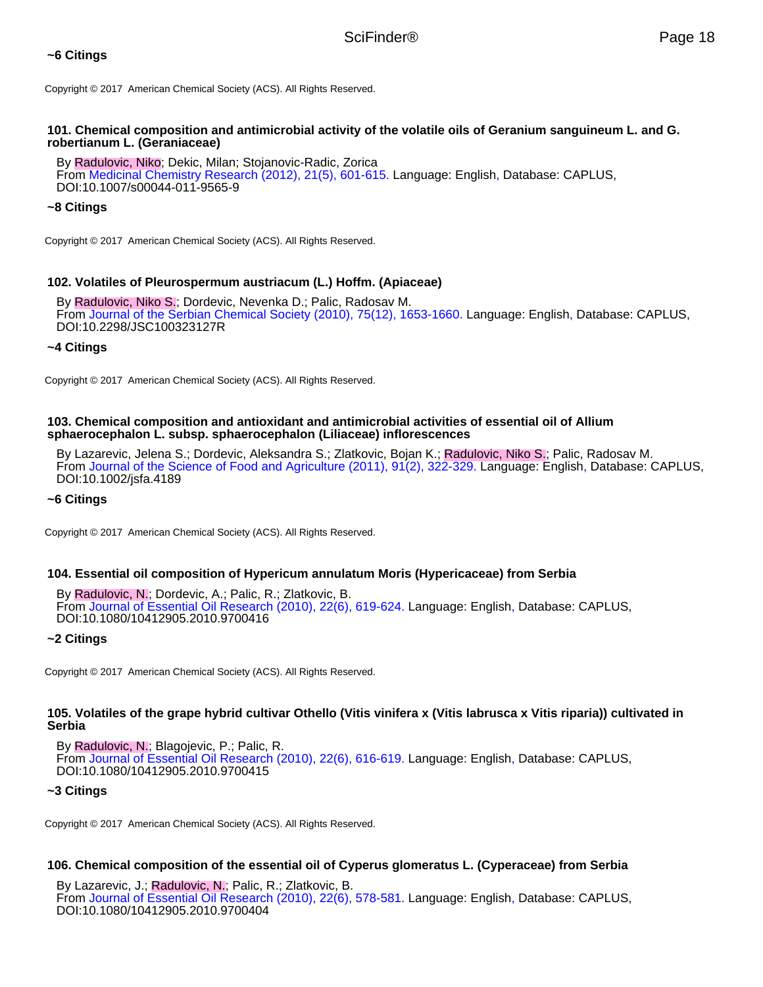# **~6 Citings**

Copyright © 2017 American Chemical Society (ACS). All Rights Reserved.

## **101. Chemical composition and antimicrobial activity of the volatile oils of Geranium sanguineum L. and G. robertianum L. (Geraniaceae)**

By Radulovic, Niko; Dekic, Milan; Stojanovic-Radic, Zorica From Medicinal Chemistry Research (2012), 21(5), 601-615. Language: English, Database: CAPLUS, DOI:10.1007/s00044-011-9565-9

# **~8 Citings**

Copyright © 2017 American Chemical Society (ACS). All Rights Reserved.

# **102. Volatiles of Pleurospermum austriacum (L.) Hoffm. (Apiaceae)**

By Radulovic, Niko S.; Dordevic, Nevenka D.; Palic, Radosav M. From Journal of the Serbian Chemical Society (2010), 75(12), 1653-1660. Language: English, Database: CAPLUS, DOI:10.2298/JSC100323127R

### **~4 Citings**

Copyright © 2017 American Chemical Society (ACS). All Rights Reserved.

### **103. Chemical composition and antioxidant and antimicrobial activities of essential oil of Allium sphaerocephalon L. subsp. sphaerocephalon (Liliaceae) inflorescences**

By Lazarevic, Jelena S.; Dordevic, Aleksandra S.; Zlatkovic, Bojan K.; Radulovic, Niko S.; Palic, Radosav M. From Journal of the Science of Food and Agriculture (2011), 91(2), 322-329. Language: English, Database: CAPLUS, DOI:10.1002/jsfa.4189

### **~6 Citings**

Copyright © 2017 American Chemical Society (ACS). All Rights Reserved.

### **104. Essential oil composition of Hypericum annulatum Moris (Hypericaceae) from Serbia**

By Radulovic, N.; Dordevic, A.; Palic, R.; Zlatkovic, B. From Journal of Essential Oil Research (2010), 22(6), 619-624. Language: English, Database: CAPLUS, DOI:10.1080/10412905.2010.9700416

### **~2 Citings**

Copyright © 2017 American Chemical Society (ACS). All Rights Reserved.

### **105. Volatiles of the grape hybrid cultivar Othello (Vitis vinifera x (Vitis labrusca x Vitis riparia)) cultivated in Serbia**

By Radulovic, N.; Blagojevic, P.; Palic, R. From Journal of Essential Oil Research (2010), 22(6), 616-619. Language: English, Database: CAPLUS, DOI:10.1080/10412905.2010.9700415

### **~3 Citings**

Copyright © 2017 American Chemical Society (ACS). All Rights Reserved.

# **106. Chemical composition of the essential oil of Cyperus glomeratus L. (Cyperaceae) from Serbia**

By Lazarevic, J.; Radulovic, N.; Palic, R.; Zlatkovic, B. From Journal of Essential Oil Research (2010), 22(6), 578-581. Language: English, Database: CAPLUS, DOI:10.1080/10412905.2010.9700404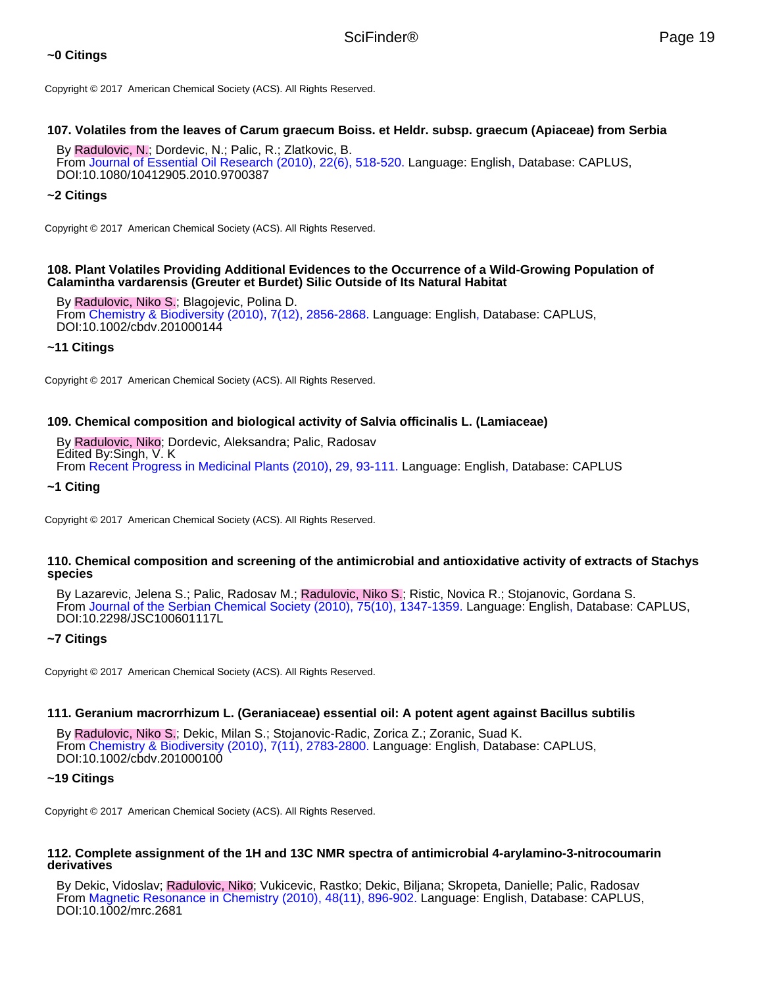# **~0 Citings**

Copyright © 2017 American Chemical Society (ACS). All Rights Reserved.

### **107. Volatiles from the leaves of Carum graecum Boiss. et Heldr. subsp. graecum (Apiaceae) from Serbia**

By Radulovic, N.; Dordevic, N.; Palic, R.; Zlatkovic, B. From Journal of Essential Oil Research (2010), 22(6), 518-520. Language: English, Database: CAPLUS, DOI:10.1080/10412905.2010.9700387

### **~2 Citings**

Copyright © 2017 American Chemical Society (ACS). All Rights Reserved.

### **108. Plant Volatiles Providing Additional Evidences to the Occurrence of a Wild-Growing Population of Calamintha vardarensis (Greuter et Burdet) Silic Outside of Its Natural Habitat**

By Radulovic, Niko S.; Blagojevic, Polina D. From Chemistry & Biodiversity (2010), 7(12), 2856-2868. Language: English, Database: CAPLUS, DOI:10.1002/cbdv.201000144

### **~11 Citings**

Copyright © 2017 American Chemical Society (ACS). All Rights Reserved.

### **109. Chemical composition and biological activity of Salvia officinalis L. (Lamiaceae)**

By Radulovic, Niko; Dordevic, Aleksandra; Palic, Radosav Edited By:Singh, V. K From Recent Progress in Medicinal Plants (2010), 29, 93-111. Language: English, Database: CAPLUS

#### **~1 Citing**

Copyright © 2017 American Chemical Society (ACS). All Rights Reserved.

### **110. Chemical composition and screening of the antimicrobial and antioxidative activity of extracts of Stachys species**

By Lazarevic, Jelena S.; Palic, Radosav M.; Radulovic, Niko S.; Ristic, Novica R.; Stojanovic, Gordana S. From Journal of the Serbian Chemical Society (2010), 75(10), 1347-1359. Language: English, Database: CAPLUS, DOI:10.2298/JSC100601117L

### **~7 Citings**

Copyright © 2017 American Chemical Society (ACS). All Rights Reserved.

#### **111. Geranium macrorrhizum L. (Geraniaceae) essential oil: A potent agent against Bacillus subtilis**

By Radulovic, Niko S.; Dekic, Milan S.; Stojanovic-Radic, Zorica Z.; Zoranic, Suad K. From Chemistry & Biodiversity (2010), 7(11), 2783-2800. Language: English, Database: CAPLUS, DOI:10.1002/cbdv.201000100

#### **~19 Citings**

Copyright © 2017 American Chemical Society (ACS). All Rights Reserved.

### **112. Complete assignment of the 1H and 13C NMR spectra of antimicrobial 4-arylamino-3-nitrocoumarin derivatives**

By Dekic, Vidoslav; Radulovic, Niko; Vukicevic, Rastko; Dekic, Biljana; Skropeta, Danielle; Palic, Radosav From Magnetic Resonance in Chemistry (2010), 48(11), 896-902. Language: English, Database: CAPLUS, DOI:10.1002/mrc.2681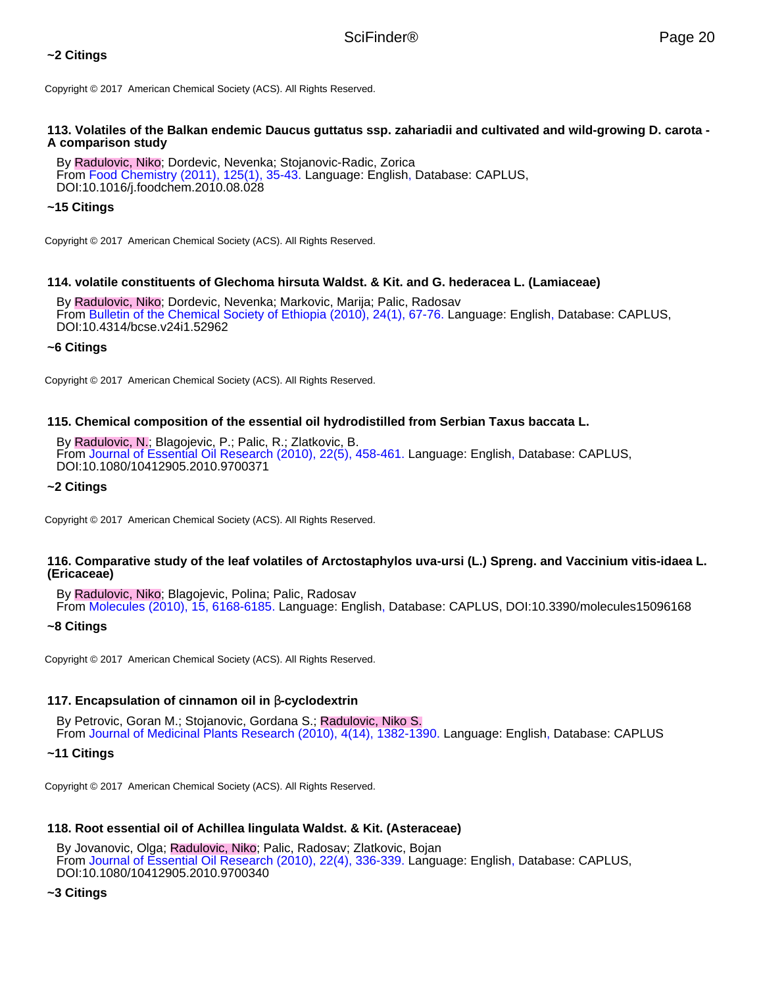# **~2 Citings**

Copyright © 2017 American Chemical Society (ACS). All Rights Reserved.

### **113. Volatiles of the Balkan endemic Daucus guttatus ssp. zahariadii and cultivated and wild-growing D. carota - A comparison study**

By Radulovic, Niko; Dordevic, Nevenka; Stojanovic-Radic, Zorica From Food Chemistry (2011), 125(1), 35-43. Language: English, Database: CAPLUS, DOI:10.1016/j.foodchem.2010.08.028

### **~15 Citings**

Copyright © 2017 American Chemical Society (ACS). All Rights Reserved.

### **114. volatile constituents of Glechoma hirsuta Waldst. & Kit. and G. hederacea L. (Lamiaceae)**

By Radulovic, Niko; Dordevic, Nevenka; Markovic, Marija; Palic, Radosav From Bulletin of the Chemical Society of Ethiopia (2010), 24(1), 67-76. Language: English, Database: CAPLUS, DOI:10.4314/bcse.v24i1.52962

### **~6 Citings**

Copyright © 2017 American Chemical Society (ACS). All Rights Reserved.

### **115. Chemical composition of the essential oil hydrodistilled from Serbian Taxus baccata L.**

By Radulovic, N.; Blagojevic, P.; Palic, R.; Zlatkovic, B. From Journal of Essential Oil Research (2010), 22(5), 458-461. Language: English, Database: CAPLUS, DOI:10.1080/10412905.2010.9700371

### **~2 Citings**

Copyright © 2017 American Chemical Society (ACS). All Rights Reserved.

### **116. Comparative study of the leaf volatiles of Arctostaphylos uva-ursi (L.) Spreng. and Vaccinium vitis-idaea L. (Ericaceae)**

By Radulovic, Niko; Blagojevic, Polina; Palic, Radosav From Molecules (2010), 15, 6168-6185. Language: English, Database: CAPLUS, DOI:10.3390/molecules15096168

### **~8 Citings**

Copyright © 2017 American Chemical Society (ACS). All Rights Reserved.

### **117. Encapsulation of cinnamon oil in** β**-cyclodextrin**

By Petrovic, Goran M.; Stojanovic, Gordana S.; Radulovic, Niko S. From Journal of Medicinal Plants Research (2010), 4(14), 1382-1390. Language: English, Database: CAPLUS

### **~11 Citings**

Copyright © 2017 American Chemical Society (ACS). All Rights Reserved.

# **118. Root essential oil of Achillea lingulata Waldst. & Kit. (Asteraceae)**

By Jovanovic, Olga; Radulovic, Niko; Palic, Radosav; Zlatkovic, Bojan From Journal of Essential Oil Research (2010), 22(4), 336-339. Language: English, Database: CAPLUS, DOI:10.1080/10412905.2010.9700340

### **~3 Citings**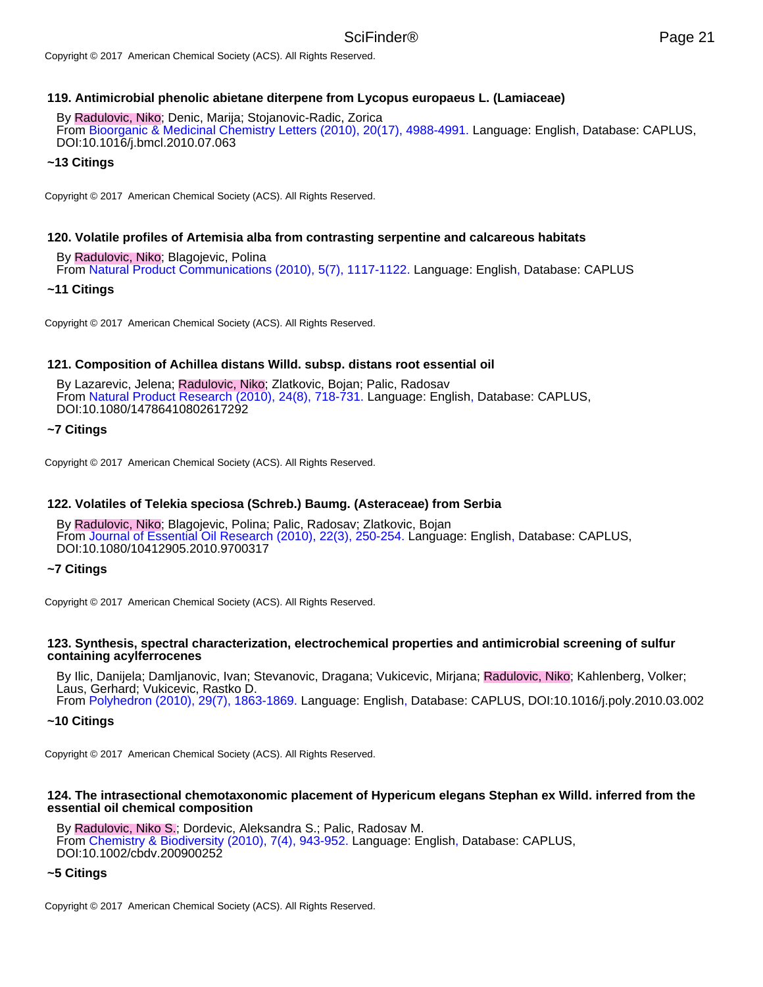### **119. Antimicrobial phenolic abietane diterpene from Lycopus europaeus L. (Lamiaceae)**

By Radulovic, Niko; Denic, Marija; Stojanovic-Radic, Zorica From Bioorganic & Medicinal Chemistry Letters (2010), 20(17), 4988-4991. Language: English, Database: CAPLUS, DOI:10.1016/j.bmcl.2010.07.063

#### **~13 Citings**

Copyright © 2017 American Chemical Society (ACS). All Rights Reserved.

### **120. Volatile profiles of Artemisia alba from contrasting serpentine and calcareous habitats**

By Radulovic, Niko; Blagojevic, Polina From Natural Product Communications (2010), 5(7), 1117-1122. Language: English, Database: CAPLUS

#### **~11 Citings**

Copyright © 2017 American Chemical Society (ACS). All Rights Reserved.

#### **121. Composition of Achillea distans Willd. subsp. distans root essential oil**

By Lazarevic, Jelena; Radulovic, Niko; Zlatkovic, Bojan; Palic, Radosav From Natural Product Research (2010), 24(8), 718-731. Language: English, Database: CAPLUS, DOI:10.1080/14786410802617292

### **~7 Citings**

Copyright © 2017 American Chemical Society (ACS). All Rights Reserved.

### **122. Volatiles of Telekia speciosa (Schreb.) Baumg. (Asteraceae) from Serbia**

By Radulovic, Niko; Blagojevic, Polina; Palic, Radosav; Zlatkovic, Bojan From Journal of Essential Oil Research (2010), 22(3), 250-254. Language: English, Database: CAPLUS, DOI:10.1080/10412905.2010.9700317

### **~7 Citings**

Copyright © 2017 American Chemical Society (ACS). All Rights Reserved.

#### **123. Synthesis, spectral characterization, electrochemical properties and antimicrobial screening of sulfur containing acylferrocenes**

By Ilic, Danijela; Damljanovic, Ivan; Stevanovic, Dragana; Vukicevic, Mirjana; Radulovic, Niko; Kahlenberg, Volker; Laus, Gerhard; Vukicevic, Rastko D. From Polyhedron (2010), 29(7), 1863-1869. Language: English, Database: CAPLUS, DOI:10.1016/j.poly.2010.03.002

#### **~10 Citings**

Copyright © 2017 American Chemical Society (ACS). All Rights Reserved.

#### **124. The intrasectional chemotaxonomic placement of Hypericum elegans Stephan ex Willd. inferred from the essential oil chemical composition**

By Radulovic, Niko S.; Dordevic, Aleksandra S.; Palic, Radosav M. From Chemistry & Biodiversity (2010), 7(4), 943-952. Language: English, Database: CAPLUS, DOI:10.1002/cbdv.200900252

#### **~5 Citings**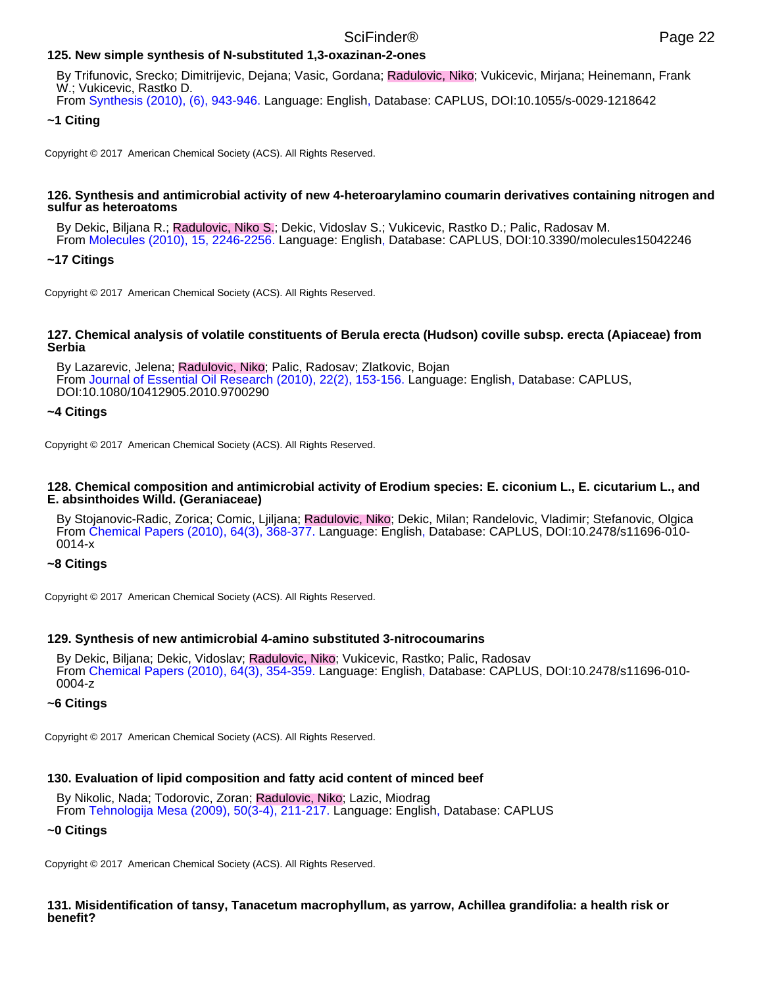## **125. New simple synthesis of N-substituted 1,3-oxazinan-2-ones**

By Trifunovic, Srecko; Dimitrijevic, Dejana; Vasic, Gordana; Radulovic, Niko; Vukicevic, Mirjana; Heinemann, Frank W.; Vukicevic, Rastko D.

From Synthesis (2010), (6), 943-946. Language: English, Database: CAPLUS, DOI:10.1055/s-0029-1218642

### **~1 Citing**

Copyright © 2017 American Chemical Society (ACS). All Rights Reserved.

#### **126. Synthesis and antimicrobial activity of new 4-heteroarylamino coumarin derivatives containing nitrogen and sulfur as heteroatoms**

By Dekic, Biljana R.; Radulovic, Niko S.; Dekic, Vidoslav S.; Vukicevic, Rastko D.; Palic, Radosav M. From Molecules (2010), 15, 2246-2256. Language: English, Database: CAPLUS, DOI:10.3390/molecules15042246

### **~17 Citings**

Copyright © 2017 American Chemical Society (ACS). All Rights Reserved.

#### **127. Chemical analysis of volatile constituents of Berula erecta (Hudson) coville subsp. erecta (Apiaceae) from Serbia**

By Lazarevic, Jelena; Radulovic, Niko; Palic, Radosav; Zlatkovic, Bojan From Journal of Essential Oil Research (2010), 22(2), 153-156. Language: English, Database: CAPLUS, DOI:10.1080/10412905.2010.9700290

### **~4 Citings**

Copyright © 2017 American Chemical Society (ACS). All Rights Reserved.

#### **128. Chemical composition and antimicrobial activity of Erodium species: E. ciconium L., E. cicutarium L., and E. absinthoides Willd. (Geraniaceae)**

By Stojanovic-Radic, Zorica; Comic, Ljiljana; Radulovic, Niko; Dekic, Milan; Randelovic, Vladimir; Stefanovic, Olgica From Chemical Papers (2010), 64(3), 368-377. Language: English, Database: CAPLUS, DOI:10.2478/s11696-010- 0014-x

### **~8 Citings**

Copyright © 2017 American Chemical Society (ACS). All Rights Reserved.

### **129. Synthesis of new antimicrobial 4-amino substituted 3-nitrocoumarins**

By Dekic, Biljana; Dekic, Vidoslav; Radulovic, Niko; Vukicevic, Rastko; Palic, Radosav From Chemical Papers (2010), 64(3), 354-359. Language: English, Database: CAPLUS, DOI:10.2478/s11696-010- 0004-z

### **~6 Citings**

Copyright © 2017 American Chemical Society (ACS). All Rights Reserved.

### **130. Evaluation of lipid composition and fatty acid content of minced beef**

By Nikolic, Nada; Todorovic, Zoran; Radulovic, Niko; Lazic, Miodrag From Tehnologija Mesa (2009), 50(3-4), 211-217. Language: English, Database: CAPLUS

#### **~0 Citings**

Copyright © 2017 American Chemical Society (ACS). All Rights Reserved.

**131. Misidentification of tansy, Tanacetum macrophyllum, as yarrow, Achillea grandifolia: a health risk or benefit?**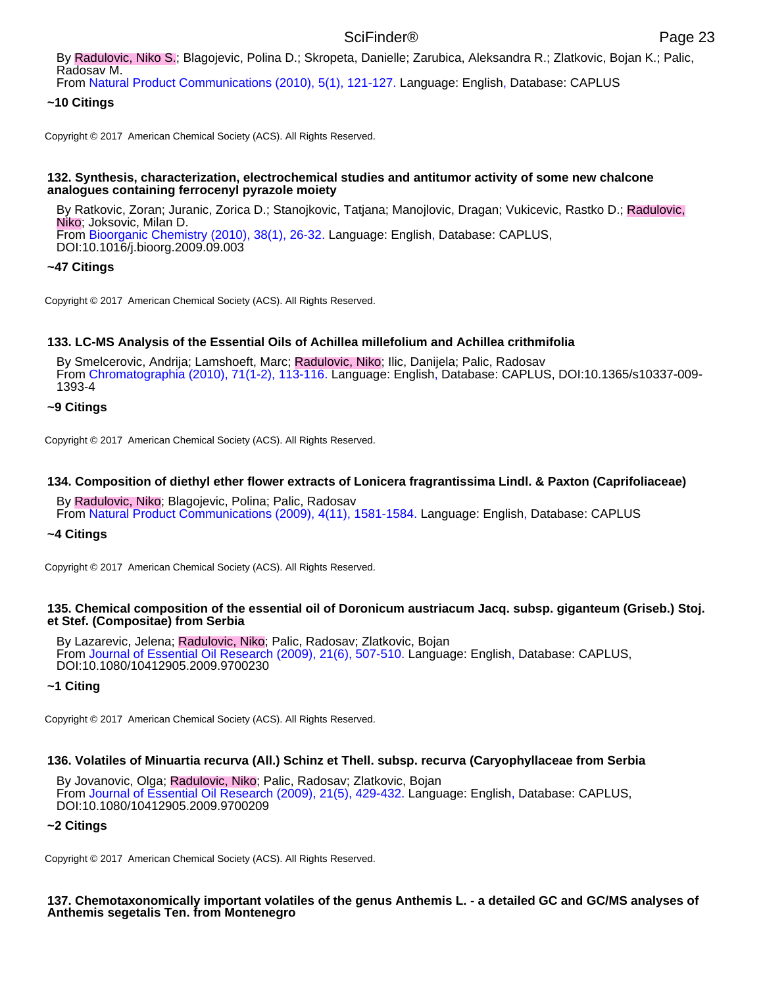From Natural Product Communications (2010), 5(1), 121-127. Language: English, Database: CAPLUS

## **~10 Citings**

Copyright © 2017 American Chemical Society (ACS). All Rights Reserved.

### **132. Synthesis, characterization, electrochemical studies and antitumor activity of some new chalcone analogues containing ferrocenyl pyrazole moiety**

By Ratkovic, Zoran; Juranic, Zorica D.; Stanojkovic, Tatjana; Manojlovic, Dragan; Vukicevic, Rastko D.; Radulovic, Niko; Joksovic, Milan D. From Bioorganic Chemistry (2010), 38(1), 26-32. Language: English, Database: CAPLUS, DOI:10.1016/j.bioorg.2009.09.003

### **~47 Citings**

Copyright © 2017 American Chemical Society (ACS). All Rights Reserved.

## **133. LC-MS Analysis of the Essential Oils of Achillea millefolium and Achillea crithmifolia**

By Smelcerovic, Andrija; Lamshoeft, Marc; Radulovic, Niko; Ilic, Danijela; Palic, Radosav From Chromatographia (2010), 71(1-2), 113-116. Language: English, Database: CAPLUS, DOI:10.1365/s10337-009- 1393-4

### **~9 Citings**

Copyright © 2017 American Chemical Society (ACS). All Rights Reserved.

### **134. Composition of diethyl ether flower extracts of Lonicera fragrantissima Lindl. & Paxton (Caprifoliaceae)**

By Radulovic, Niko; Blagojevic, Polina; Palic, Radosav From Natural Product Communications (2009), 4(11), 1581-1584. Language: English, Database: CAPLUS

### **~4 Citings**

Copyright © 2017 American Chemical Society (ACS). All Rights Reserved.

### **135. Chemical composition of the essential oil of Doronicum austriacum Jacq. subsp. giganteum (Griseb.) Stoj. et Stef. (Compositae) from Serbia**

By Lazarevic, Jelena; Radulovic, Niko; Palic, Radosav; Zlatkovic, Bojan From Journal of Essential Oil Research (2009), 21(6), 507-510. Language: English, Database: CAPLUS, DOI:10.1080/10412905.2009.9700230

### **~1 Citing**

Copyright © 2017 American Chemical Society (ACS). All Rights Reserved.

### **136. Volatiles of Minuartia recurva (All.) Schinz et Thell. subsp. recurva (Caryophyllaceae from Serbia**

By Jovanovic, Olga; Radulovic, Niko; Palic, Radosav; Zlatkovic, Bojan From Journal of Essential Oil Research (2009), 21(5), 429-432. Language: English, Database: CAPLUS, DOI:10.1080/10412905.2009.9700209

### **~2 Citings**

Copyright © 2017 American Chemical Society (ACS). All Rights Reserved.

### **137. Chemotaxonomically important volatiles of the genus Anthemis L. - a detailed GC and GC/MS analyses of Anthemis segetalis Ten. from Montenegro**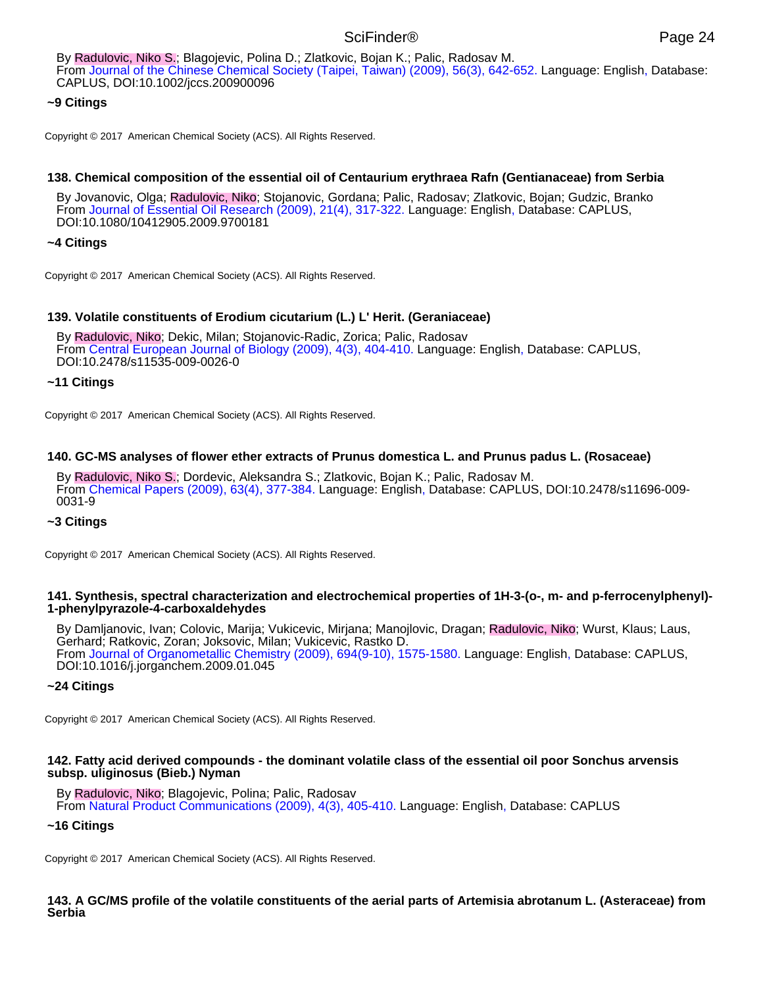By Radulovic, Niko S.; Blagojevic, Polina D.; Zlatkovic, Bojan K.; Palic, Radosav M. From Journal of the Chinese Chemical Society (Taipei, Taiwan) (2009), 56(3), 642-652. Language: English, Database: CAPLUS, DOI:10.1002/jccs.200900096

# **~9 Citings**

Copyright © 2017 American Chemical Society (ACS). All Rights Reserved.

### **138. Chemical composition of the essential oil of Centaurium erythraea Rafn (Gentianaceae) from Serbia**

By Jovanovic, Olga; Radulovic, Niko; Stojanovic, Gordana; Palic, Radosav; Zlatkovic, Bojan; Gudzic, Branko From Journal of Essential Oil Research (2009), 21(4), 317-322. Language: English, Database: CAPLUS, DOI:10.1080/10412905.2009.9700181

### **~4 Citings**

Copyright © 2017 American Chemical Society (ACS). All Rights Reserved.

### **139. Volatile constituents of Erodium cicutarium (L.) L' Herit. (Geraniaceae)**

By Radulovic, Niko; Dekic, Milan; Stojanovic-Radic, Zorica; Palic, Radosav From Central European Journal of Biology (2009), 4(3), 404-410. Language: English, Database: CAPLUS, DOI:10.2478/s11535-009-0026-0

### **~11 Citings**

Copyright © 2017 American Chemical Society (ACS). All Rights Reserved.

### **140. GC-MS analyses of flower ether extracts of Prunus domestica L. and Prunus padus L. (Rosaceae)**

By Radulovic, Niko S.; Dordevic, Aleksandra S.; Zlatkovic, Bojan K.; Palic, Radosav M. From Chemical Papers (2009), 63(4), 377-384. Language: English, Database: CAPLUS, DOI:10.2478/s11696-009- 0031-9

### **~3 Citings**

Copyright © 2017 American Chemical Society (ACS). All Rights Reserved.

### **141. Synthesis, spectral characterization and electrochemical properties of 1H-3-(o-, m- and p-ferrocenylphenyl)- 1-phenylpyrazole-4-carboxaldehydes**

By Damljanovic, Ivan; Colovic, Marija; Vukicevic, Mirjana; Manojlovic, Dragan; Radulovic, Niko; Wurst, Klaus; Laus, Gerhard; Ratkovic, Zoran; Joksovic, Milan; Vukicevic, Rastko D. From Journal of Organometallic Chemistry (2009), 694(9-10), 1575-1580. Language: English, Database: CAPLUS, DOI:10.1016/j.jorganchem.2009.01.045

# **~24 Citings**

Copyright © 2017 American Chemical Society (ACS). All Rights Reserved.

### **142. Fatty acid derived compounds - the dominant volatile class of the essential oil poor Sonchus arvensis subsp. uliginosus (Bieb.) Nyman**

### By Radulovic, Niko; Blagojevic, Polina; Palic, Radosav

From Natural Product Communications (2009), 4(3), 405-410. Language: English, Database: CAPLUS

### **~16 Citings**

Copyright © 2017 American Chemical Society (ACS). All Rights Reserved.

### **143. A GC/MS profile of the volatile constituents of the aerial parts of Artemisia abrotanum L. (Asteraceae) from Serbia**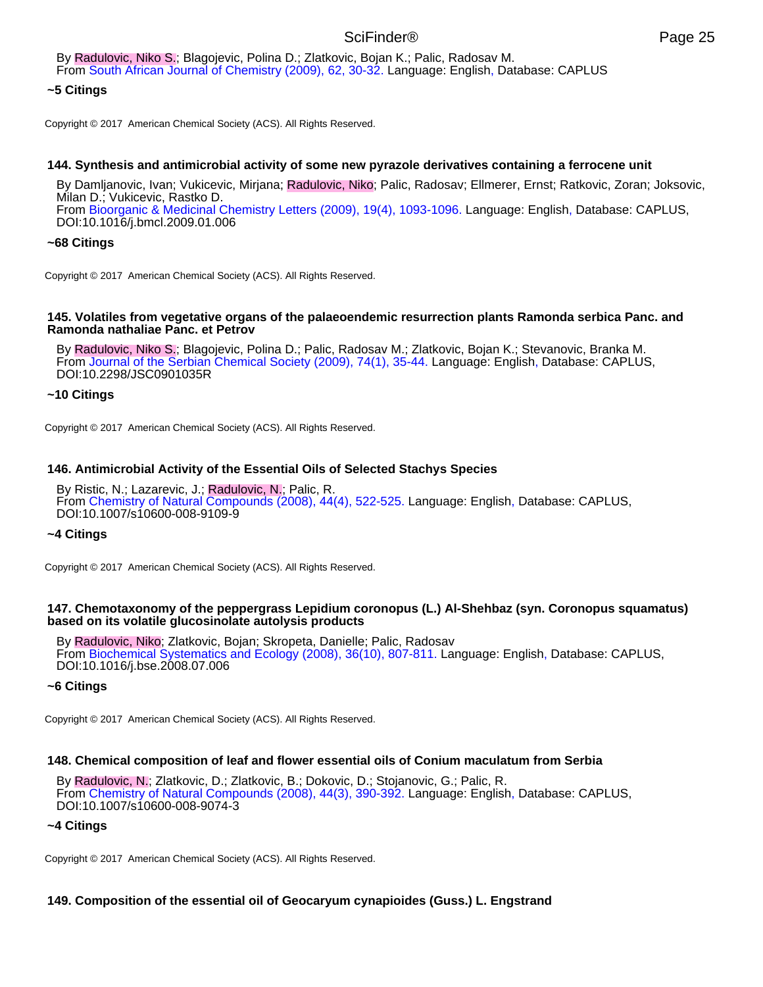By Radulovic, Niko S.; Blagojevic, Polina D.; Zlatkovic, Bojan K.; Palic, Radosav M. From South African Journal of Chemistry (2009), 62, 30-32. Language: English, Database: CAPLUS

### **~5 Citings**

Copyright © 2017 American Chemical Society (ACS). All Rights Reserved.

### **144. Synthesis and antimicrobial activity of some new pyrazole derivatives containing a ferrocene unit**

By Damljanovic, Ivan; Vukicevic, Mirjana; Radulovic, Niko; Palic, Radosav; Ellmerer, Ernst; Ratkovic, Zoran; Joksovic, Milan D.; Vukicevic, Rastko D. From Bioorganic & Medicinal Chemistry Letters (2009), 19(4), 1093-1096. Language: English, Database: CAPLUS, DOI:10.1016/j.bmcl.2009.01.006

## **~68 Citings**

Copyright © 2017 American Chemical Society (ACS). All Rights Reserved.

#### **145. Volatiles from vegetative organs of the palaeoendemic resurrection plants Ramonda serbica Panc. and Ramonda nathaliae Panc. et Petrov**

By Radulovic, Niko S.; Blagojevic, Polina D.; Palic, Radosav M.; Zlatkovic, Bojan K.; Stevanovic, Branka M. From Journal of the Serbian Chemical Society (2009), 74(1), 35-44. Language: English, Database: CAPLUS, DOI:10.2298/JSC0901035R

### **~10 Citings**

Copyright © 2017 American Chemical Society (ACS). All Rights Reserved.

### **146. Antimicrobial Activity of the Essential Oils of Selected Stachys Species**

By Ristic, N.; Lazarevic, J.; Radulovic, N.; Palic, R. From Chemistry of Natural Compounds (2008), 44(4), 522-525. Language: English, Database: CAPLUS, DOI:10.1007/s10600-008-9109-9

### **~4 Citings**

Copyright © 2017 American Chemical Society (ACS). All Rights Reserved.

### **147. Chemotaxonomy of the peppergrass Lepidium coronopus (L.) Al-Shehbaz (syn. Coronopus squamatus) based on its volatile glucosinolate autolysis products**

By Radulovic, Niko; Zlatkovic, Bojan; Skropeta, Danielle; Palic, Radosav From Biochemical Systematics and Ecology (2008), 36(10), 807-811. Language: English, Database: CAPLUS, DOI:10.1016/j.bse.2008.07.006

### **~6 Citings**

Copyright © 2017 American Chemical Society (ACS). All Rights Reserved.

### **148. Chemical composition of leaf and flower essential oils of Conium maculatum from Serbia**

By Radulovic, N.; Zlatkovic, D.; Zlatkovic, B.; Dokovic, D.; Stojanovic, G.; Palic, R. From Chemistry of Natural Compounds (2008), 44(3), 390-392. Language: English, Database: CAPLUS, DOI:10.1007/s10600-008-9074-3

### **~4 Citings**

Copyright © 2017 American Chemical Society (ACS). All Rights Reserved.

# **149. Composition of the essential oil of Geocaryum cynapioides (Guss.) L. Engstrand**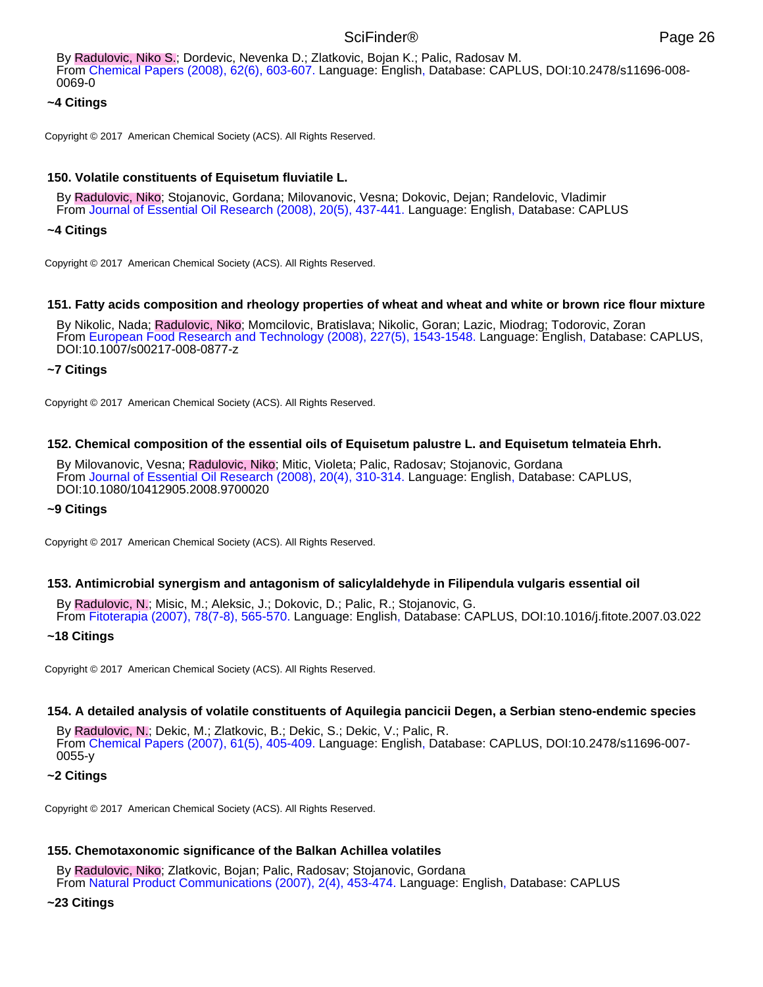By Radulovic, Niko S.; Dordevic, Nevenka D.; Zlatkovic, Bojan K.; Palic, Radosav M. From Chemical Papers (2008), 62(6), 603-607. Language: English, Database: CAPLUS, DOI:10.2478/s11696-008- 0069-0

# **~4 Citings**

Copyright © 2017 American Chemical Society (ACS). All Rights Reserved.

# **150. Volatile constituents of Equisetum fluviatile L.**

By Radulovic, Niko; Stojanovic, Gordana; Milovanovic, Vesna; Dokovic, Dejan; Randelovic, Vladimir From Journal of Essential Oil Research (2008), 20(5), 437-441. Language: English, Database: CAPLUS

# **~4 Citings**

Copyright © 2017 American Chemical Society (ACS). All Rights Reserved.

## **151. Fatty acids composition and rheology properties of wheat and wheat and white or brown rice flour mixture**

By Nikolic, Nada; Radulovic, Niko; Momcilovic, Bratislava; Nikolic, Goran; Lazic, Miodrag; Todorovic, Zoran From European Food Research and Technology (2008), 227(5), 1543-1548. Language: English, Database: CAPLUS, DOI:10.1007/s00217-008-0877-z

## **~7 Citings**

Copyright © 2017 American Chemical Society (ACS). All Rights Reserved.

## **152. Chemical composition of the essential oils of Equisetum palustre L. and Equisetum telmateia Ehrh.**

By Milovanovic, Vesna; Radulovic, Niko; Mitic, Violeta; Palic, Radosav; Stojanovic, Gordana From Journal of Essential Oil Research (2008), 20(4), 310-314. Language: English, Database: CAPLUS, DOI:10.1080/10412905.2008.9700020

### **~9 Citings**

Copyright © 2017 American Chemical Society (ACS). All Rights Reserved.

### **153. Antimicrobial synergism and antagonism of salicylaldehyde in Filipendula vulgaris essential oil**

By Radulovic, N.; Misic, M.; Aleksic, J.; Dokovic, D.; Palic, R.; Stojanovic, G. From Fitoterapia (2007), 78(7-8), 565-570. Language: English, Database: CAPLUS, DOI:10.1016/j.fitote.2007.03.022

### **~18 Citings**

Copyright © 2017 American Chemical Society (ACS). All Rights Reserved.

### **154. A detailed analysis of volatile constituents of Aquilegia pancicii Degen, a Serbian steno-endemic species**

By Radulovic, N.; Dekic, M.; Zlatkovic, B.; Dekic, S.; Dekic, V.; Palic, R. From Chemical Papers (2007), 61(5), 405-409. Language: English, Database: CAPLUS, DOI:10.2478/s11696-007- 0055-y

### **~2 Citings**

Copyright © 2017 American Chemical Society (ACS). All Rights Reserved.

# **155. Chemotaxonomic significance of the Balkan Achillea volatiles**

By Radulovic, Niko; Zlatkovic, Bojan; Palic, Radosav; Stojanovic, Gordana From Natural Product Communications (2007), 2(4), 453-474. Language: English, Database: CAPLUS

### **~23 Citings**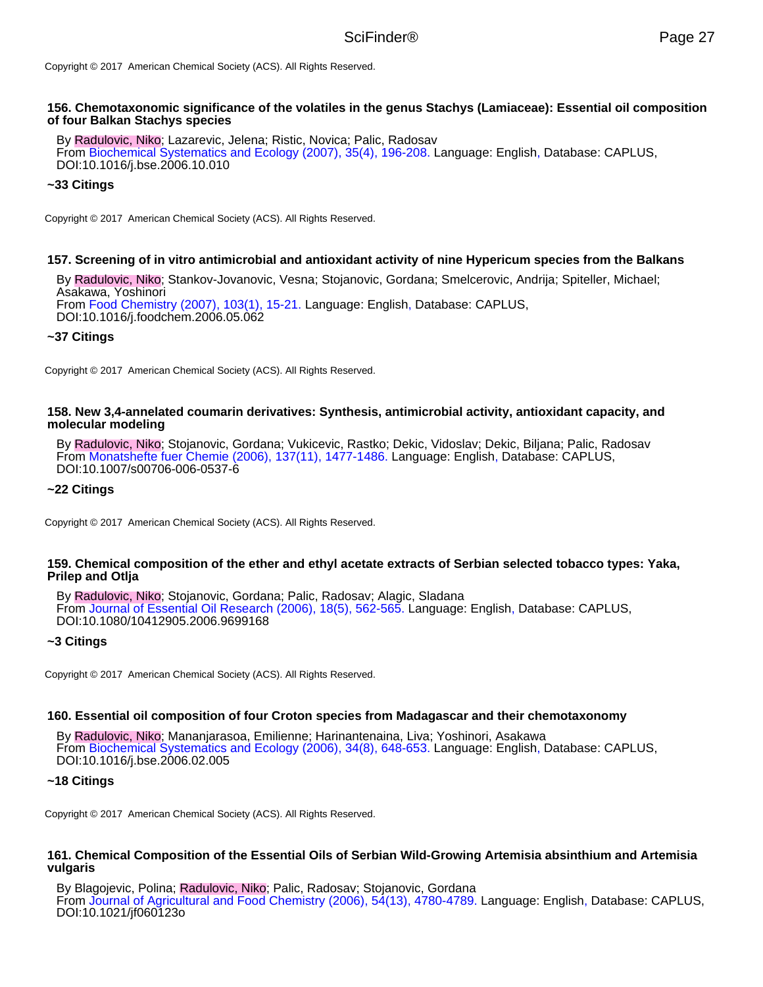Copyright © 2017 American Chemical Society (ACS). All Rights Reserved.

#### **156. Chemotaxonomic significance of the volatiles in the genus Stachys (Lamiaceae): Essential oil composition of four Balkan Stachys species**

By Radulovic, Niko; Lazarevic, Jelena; Ristic, Novica; Palic, Radosav From Biochemical Systematics and Ecology (2007), 35(4), 196-208. Language: English, Database: CAPLUS, DOI:10.1016/j.bse.2006.10.010

### **~33 Citings**

Copyright © 2017 American Chemical Society (ACS). All Rights Reserved.

## **157. Screening of in vitro antimicrobial and antioxidant activity of nine Hypericum species from the Balkans**

By Radulovic, Niko; Stankov-Jovanovic, Vesna; Stojanovic, Gordana; Smelcerovic, Andrija; Spiteller, Michael; Asakawa, Yoshinori From Food Chemistry (2007), 103(1), 15-21. Language: English, Database: CAPLUS, DOI:10.1016/j.foodchem.2006.05.062

### **~37 Citings**

Copyright © 2017 American Chemical Society (ACS). All Rights Reserved.

#### **158. New 3,4-annelated coumarin derivatives: Synthesis, antimicrobial activity, antioxidant capacity, and molecular modeling**

By Radulovic, Niko; Stojanovic, Gordana; Vukicevic, Rastko; Dekic, Vidoslav; Dekic, Biljana; Palic, Radosav From Monatshefte fuer Chemie (2006), 137(11), 1477-1486. Language: English, Database: CAPLUS, DOI:10.1007/s00706-006-0537-6

#### **~22 Citings**

Copyright © 2017 American Chemical Society (ACS). All Rights Reserved.

#### **159. Chemical composition of the ether and ethyl acetate extracts of Serbian selected tobacco types: Yaka, Prilep and Otlja**

By Radulovic, Niko; Stojanovic, Gordana; Palic, Radosav; Alagic, Sladana From Journal of Essential Oil Research (2006), 18(5), 562-565. Language: English, Database: CAPLUS, DOI:10.1080/10412905.2006.9699168

### **~3 Citings**

Copyright © 2017 American Chemical Society (ACS). All Rights Reserved.

#### **160. Essential oil composition of four Croton species from Madagascar and their chemotaxonomy**

By Radulovic, Niko; Mananjarasoa, Emilienne; Harinantenaina, Liva; Yoshinori, Asakawa From Biochemical Systematics and Ecology (2006), 34(8), 648-653. Language: English, Database: CAPLUS, DOI:10.1016/j.bse.2006.02.005

#### **~18 Citings**

Copyright © 2017 American Chemical Society (ACS). All Rights Reserved.

#### **161. Chemical Composition of the Essential Oils of Serbian Wild-Growing Artemisia absinthium and Artemisia vulgaris**

By Blagojevic, Polina; Radulovic, Niko; Palic, Radosav; Stojanovic, Gordana From Journal of Agricultural and Food Chemistry (2006), 54(13), 4780-4789. Language: English, Database: CAPLUS, DOI:10.1021/jf060123o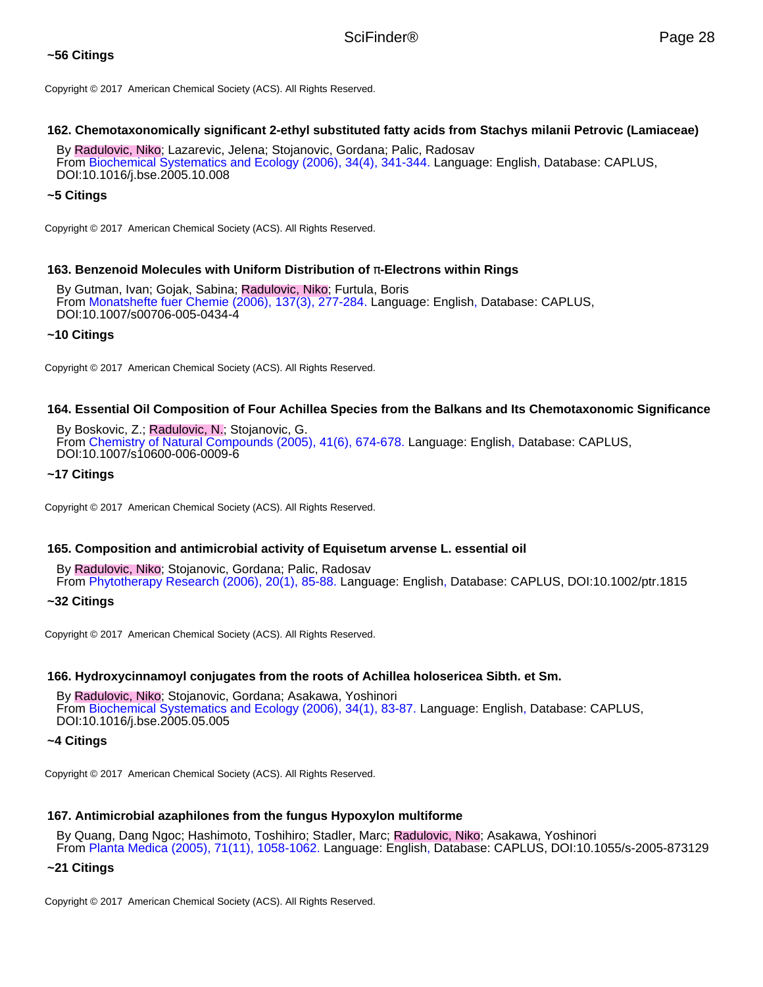# **~56 Citings**

Copyright © 2017 American Chemical Society (ACS). All Rights Reserved.

# **162. Chemotaxonomically significant 2-ethyl substituted fatty acids from Stachys milanii Petrovic (Lamiaceae)**

By Radulovic, Niko; Lazarevic, Jelena; Stojanovic, Gordana; Palic, Radosav From Biochemical Systematics and Ecology (2006), 34(4), 341-344. Language: English, Database: CAPLUS, DOI:10.1016/j.bse.2005.10.008

# **~5 Citings**

Copyright © 2017 American Chemical Society (ACS). All Rights Reserved.

## **163. Benzenoid Molecules with Uniform Distribution of** π**-Electrons within Rings**

By Gutman, Ivan; Gojak, Sabina; Radulovic, Niko; Furtula, Boris From Monatshefte fuer Chemie (2006), 137(3), 277-284. Language: English, Database: CAPLUS, DOI:10.1007/s00706-005-0434-4

## **~10 Citings**

Copyright © 2017 American Chemical Society (ACS). All Rights Reserved.

# **164. Essential Oil Composition of Four Achillea Species from the Balkans and Its Chemotaxonomic Significance**

By Boskovic, Z.; Radulovic, N.; Stojanovic, G. From Chemistry of Natural Compounds (2005), 41(6), 674-678. Language: English, Database: CAPLUS, DOI:10.1007/s10600-006-0009-6

### **~17 Citings**

Copyright © 2017 American Chemical Society (ACS). All Rights Reserved.

# **165. Composition and antimicrobial activity of Equisetum arvense L. essential oil**

By Radulovic, Niko; Stojanovic, Gordana; Palic, Radosav From Phytotherapy Research (2006), 20(1), 85-88. Language: English, Database: CAPLUS, DOI:10.1002/ptr.1815

**~32 Citings**

Copyright © 2017 American Chemical Society (ACS). All Rights Reserved.

# **166. Hydroxycinnamoyl conjugates from the roots of Achillea holosericea Sibth. et Sm.**

By Radulovic, Niko; Stojanovic, Gordana; Asakawa, Yoshinori From Biochemical Systematics and Ecology (2006), 34(1), 83-87. Language: English, Database: CAPLUS, DOI:10.1016/j.bse.2005.05.005

### **~4 Citings**

Copyright © 2017 American Chemical Society (ACS). All Rights Reserved.

# **167. Antimicrobial azaphilones from the fungus Hypoxylon multiforme**

By Quang, Dang Ngoc; Hashimoto, Toshihiro; Stadler, Marc; Radulovic, Niko; Asakawa, Yoshinori From Planta Medica (2005), 71(11), 1058-1062. Language: English, Database: CAPLUS, DOI:10.1055/s-2005-873129

### **~21 Citings**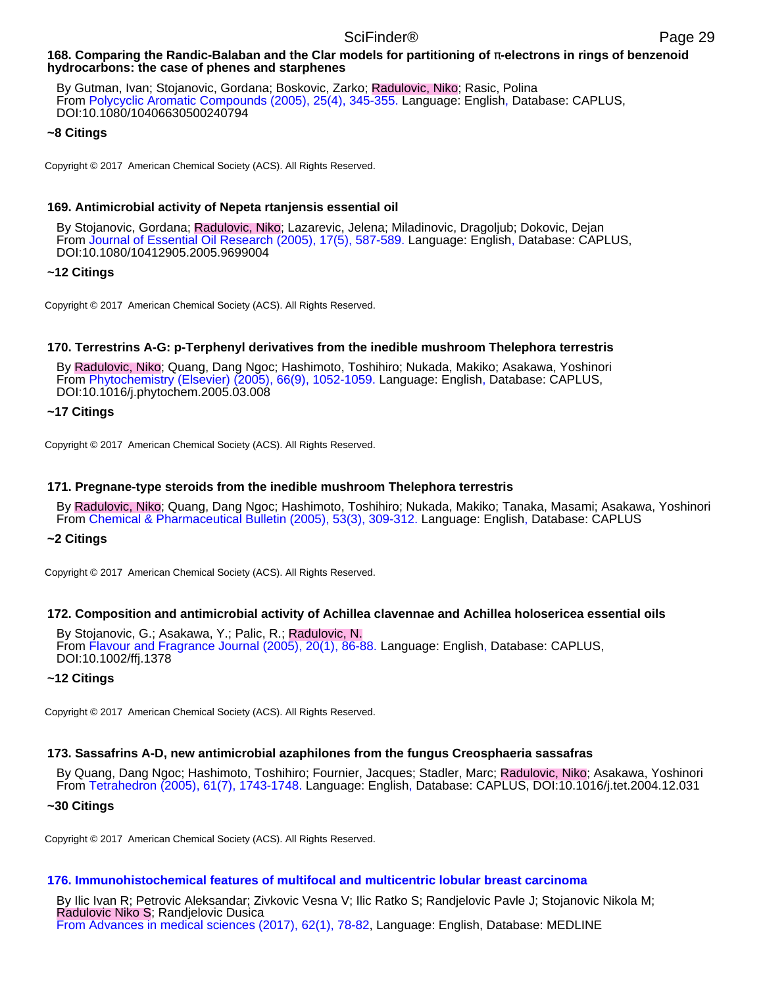### **168. Comparing the Randic-Balaban and the Clar models for partitioning of** π**-electrons in rings of benzenoid hydrocarbons: the case of phenes and starphenes**

By Gutman, Ivan; Stojanovic, Gordana; Boskovic, Zarko; Radulovic, Niko; Rasic, Polina From Polycyclic Aromatic Compounds (2005), 25(4), 345-355. Language: English, Database: CAPLUS, DOI:10.1080/10406630500240794

## **~8 Citings**

Copyright © 2017 American Chemical Society (ACS). All Rights Reserved.

## **169. Antimicrobial activity of Nepeta rtanjensis essential oil**

By Stojanovic, Gordana; Radulovic, Niko; Lazarevic, Jelena; Miladinovic, Dragoljub; Dokovic, Dejan From Journal of Essential Oil Research (2005), 17(5), 587-589. Language: English, Database: CAPLUS, DOI:10.1080/10412905.2005.9699004

## **~12 Citings**

Copyright © 2017 American Chemical Society (ACS). All Rights Reserved.

# **170. Terrestrins A-G: p-Terphenyl derivatives from the inedible mushroom Thelephora terrestris**

By Radulovic, Niko; Quang, Dang Ngoc; Hashimoto, Toshihiro; Nukada, Makiko; Asakawa, Yoshinori From Phytochemistry (Elsevier) (2005), 66(9), 1052-1059. Language: English, Database: CAPLUS, DOI:10.1016/j.phytochem.2005.03.008

## **~17 Citings**

Copyright © 2017 American Chemical Society (ACS). All Rights Reserved.

# **171. Pregnane-type steroids from the inedible mushroom Thelephora terrestris**

By Radulovic, Niko; Quang, Dang Ngoc; Hashimoto, Toshihiro; Nukada, Makiko; Tanaka, Masami; Asakawa, Yoshinori From Chemical & Pharmaceutical Bulletin (2005), 53(3), 309-312. Language: English, Database: CAPLUS

# **~2 Citings**

Copyright © 2017 American Chemical Society (ACS). All Rights Reserved.

### **172. Composition and antimicrobial activity of Achillea clavennae and Achillea holosericea essential oils**

By Stojanovic, G.; Asakawa, Y.; Palic, R.; Radulovic, N. From Flavour and Fragrance Journal (2005), 20(1), 86-88. Language: English, Database: CAPLUS, DOI:10.1002/ffj.1378

### **~12 Citings**

Copyright © 2017 American Chemical Society (ACS). All Rights Reserved.

# **173. Sassafrins A-D, new antimicrobial azaphilones from the fungus Creosphaeria sassafras**

By Quang, Dang Ngoc; Hashimoto, Toshihiro; Fournier, Jacques; Stadler, Marc; Radulovic, Niko; Asakawa, Yoshinori From Tetrahedron (2005), 61(7), 1743-1748. Language: English, Database: CAPLUS, DOI:10.1016/j.tet.2004.12.031

### **~30 Citings**

Copyright © 2017 American Chemical Society (ACS). All Rights Reserved.

# **176. Immunohistochemical features of multifocal and multicentric lobular breast carcinoma**

By Ilic Ivan R; Petrovic Aleksandar; Zivkovic Vesna V; Ilic Ratko S; Randjelovic Pavle J; Stojanovic Nikola M; Radulovic Niko S; Randjelovic Dusica From Advances in medical sciences (2017), 62(1), 78-82, Language: English, Database: MEDLINE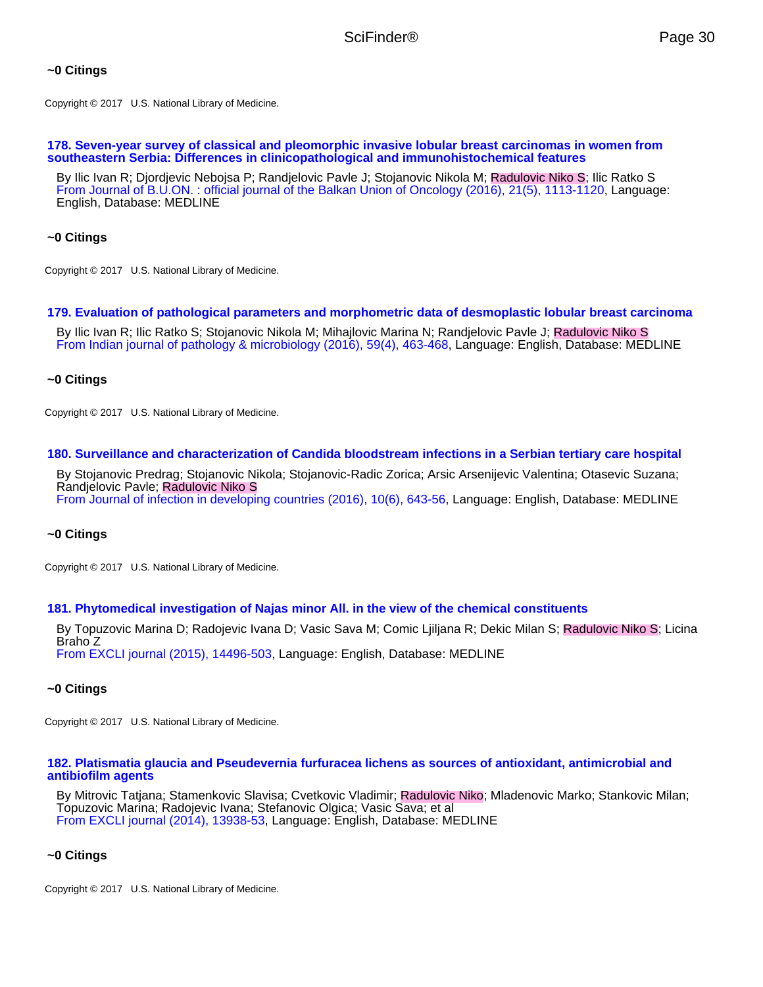## **~0 Citings**

Copyright © 2017 U.S. National Library of Medicine.

#### **178. Seven-year survey of classical and pleomorphic invasive lobular breast carcinomas in women from southeastern Serbia: Differences in clinicopathological and immunohistochemical features**

By Ilic Ivan R; Djordjevic Nebojsa P; Randjelovic Pavle J; Stojanovic Nikola M; Radulovic Niko S; Ilic Ratko S From Journal of B.U.ON. : official journal of the Balkan Union of Oncology (2016), 21(5), 1113-1120, Language: English, Database: MEDLINE

# **~0 Citings**

Copyright © 2017 U.S. National Library of Medicine.

### **179. Evaluation of pathological parameters and morphometric data of desmoplastic lobular breast carcinoma**

By Ilic Ivan R; Ilic Ratko S; Stojanovic Nikola M; Mihajlovic Marina N; Randjelovic Pavle J; Radulovic Niko S From Indian journal of pathology & microbiology (2016), 59(4), 463-468, Language: English, Database: MEDLINE

### **~0 Citings**

Copyright © 2017 U.S. National Library of Medicine.

### **180. Surveillance and characterization of Candida bloodstream infections in a Serbian tertiary care hospital**

By Stojanovic Predrag; Stojanovic Nikola; Stojanovic-Radic Zorica; Arsic Arsenijevic Valentina; Otasevic Suzana; Randjelovic Pavle; Radulovic Niko S From Journal of infection in developing countries (2016), 10(6), 643-56, Language: English, Database: MEDLINE

### **~0 Citings**

Copyright © 2017 U.S. National Library of Medicine.

### **181. Phytomedical investigation of Najas minor All. in the view of the chemical constituents**

By Topuzovic Marina D; Radojevic Ivana D; Vasic Sava M; Comic Ljiljana R; Dekic Milan S; Radulovic Niko S; Licina Braho Z From EXCLI journal (2015), 14496-503, Language: English, Database: MEDLINE

### **~0 Citings**

Copyright © 2017 U.S. National Library of Medicine.

#### **182. Platismatia glaucia and Pseudevernia furfuracea lichens as sources of antioxidant, antimicrobial and antibiofilm agents**

By Mitrovic Tatjana; Stamenkovic Slavisa; Cvetkovic Vladimir; Radulovic Niko; Mladenovic Marko; Stankovic Milan; Topuzovic Marina; Radojevic Ivana; Stefanovic Olgica; Vasic Sava; et al From EXCLI journal (2014), 13938-53, Language: English, Database: MEDLINE

### **~0 Citings**

Copyright © 2017 U.S. National Library of Medicine.